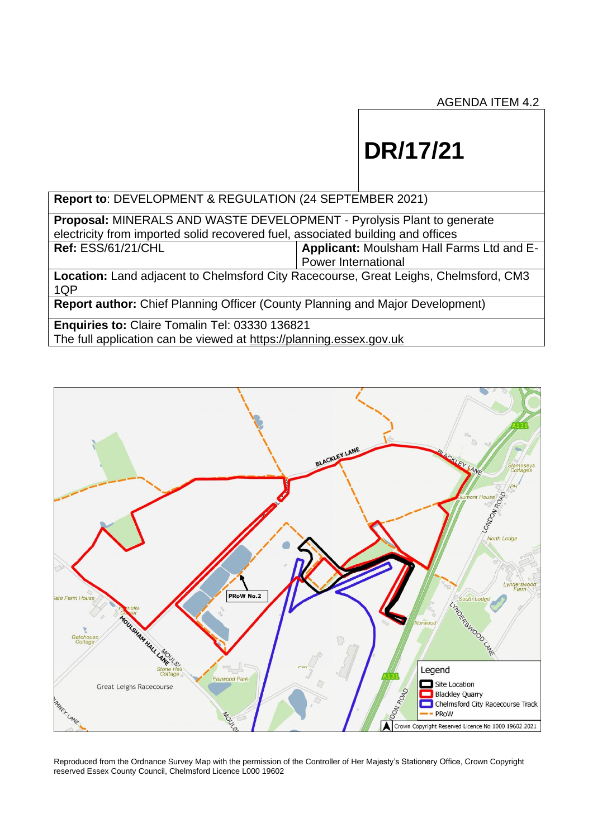# **DR/17/21**

**Report to**: DEVELOPMENT & REGULATION (24 SEPTEMBER 2021)

**Proposal:** MINERALS AND WASTE DEVELOPMENT - Pyrolysis Plant to generate electricity from imported solid recovered fuel, associated building and offices<br>Ref: ESS/61/21/CHL | Applicant: Moulsham Hall Fa **Applicant: Moulsham Hall Farms Ltd and E-**Power International **Location:** Land adjacent to Chelmsford City Racecourse, Great Leighs, Chelmsford, CM3 1QP

**Report author:** Chief Planning Officer (County Planning and Major Development)

**Enquiries to:** Claire Tomalin Tel: 03330 136821 The full application can be viewed at [https://planning.essex.gov.uk](https://planning.essex.gov.uk/)



Reproduced from the Ordnance Survey Map with the permission of the Controller of Her Majesty's Stationery Office, Crown Copyright reserved Essex County Council, Chelmsford Licence L000 19602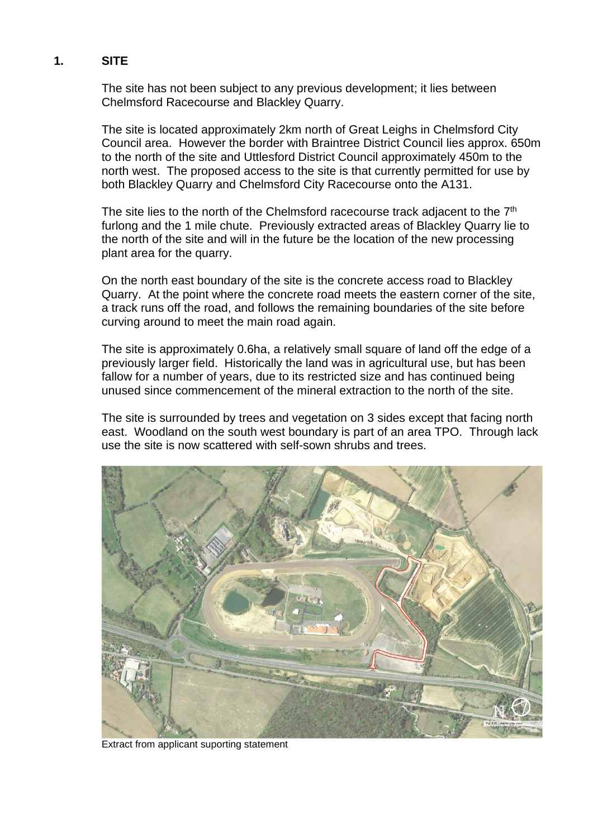# **1. SITE**

The site has not been subject to any previous development; it lies between Chelmsford Racecourse and Blackley Quarry.

The site is located approximately 2km north of Great Leighs in Chelmsford City Council area. However the border with Braintree District Council lies approx. 650m to the north of the site and Uttlesford District Council approximately 450m to the north west. The proposed access to the site is that currently permitted for use by both Blackley Quarry and Chelmsford City Racecourse onto the A131.

The site lies to the north of the Chelmsford racecourse track adjacent to the  $7<sup>th</sup>$ furlong and the 1 mile chute. Previously extracted areas of Blackley Quarry lie to the north of the site and will in the future be the location of the new processing plant area for the quarry.

On the north east boundary of the site is the concrete access road to Blackley Quarry. At the point where the concrete road meets the eastern corner of the site, a track runs off the road, and follows the remaining boundaries of the site before curving around to meet the main road again.

The site is approximately 0.6ha, a relatively small square of land off the edge of a previously larger field. Historically the land was in agricultural use, but has been fallow for a number of years, due to its restricted size and has continued being unused since commencement of the mineral extraction to the north of the site.

The site is surrounded by trees and vegetation on 3 sides except that facing north east. Woodland on the south west boundary is part of an area TPO. Through lack use the site is now scattered with self-sown shrubs and trees.



Extract from applicant suporting statement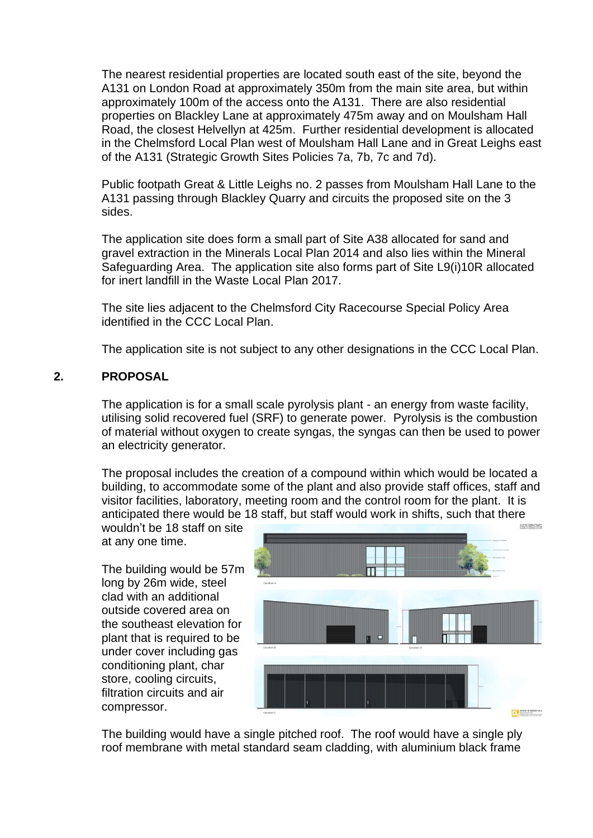The nearest residential properties are located south east of the site, beyond the A131 on London Road at approximately 350m from the main site area, but within approximately 100m of the access onto the A131. There are also residential properties on Blackley Lane at approximately 475m away and on Moulsham Hall Road, the closest Helvellyn at 425m. Further residential development is allocated in the Chelmsford Local Plan west of Moulsham Hall Lane and in Great Leighs east of the A131 (Strategic Growth Sites Policies 7a, 7b, 7c and 7d).

Public footpath Great & Little Leighs no. 2 passes from Moulsham Hall Lane to the A131 passing through Blackley Quarry and circuits the proposed site on the 3 sides.

The application site does form a small part of Site A38 allocated for sand and gravel extraction in the Minerals Local Plan 2014 and also lies within the Mineral Safeguarding Area. The application site also forms part of Site L9(i)10R allocated for inert landfill in the Waste Local Plan 2017.

The site lies adjacent to the Chelmsford City Racecourse Special Policy Area identified in the CCC Local Plan.

The application site is not subject to any other designations in the CCC Local Plan.

# **2. PROPOSAL**

The application is for a small scale pyrolysis plant - an energy from waste facility, utilising solid recovered fuel (SRF) to generate power. Pyrolysis is the combustion of material without oxygen to create syngas, the syngas can then be used to power an electricity generator.

The proposal includes the creation of a compound within which would be located a building, to accommodate some of the plant and also provide staff offices, staff and visitor facilities, laboratory, meeting room and the control room for the plant. It is anticipated there would be 18 staff, but staff would work in shifts, such that there

wouldn't be 18 staff on site at any one time.

The building would be 57m long by 26m wide, steel clad with an additional outside covered area on the southeast elevation for plant that is required to be under cover including gas conditioning plant, char store, cooling circuits, filtration circuits and air compressor.



The building would have a single pitched roof. The roof would have a single ply roof membrane with metal standard seam cladding, with aluminium black frame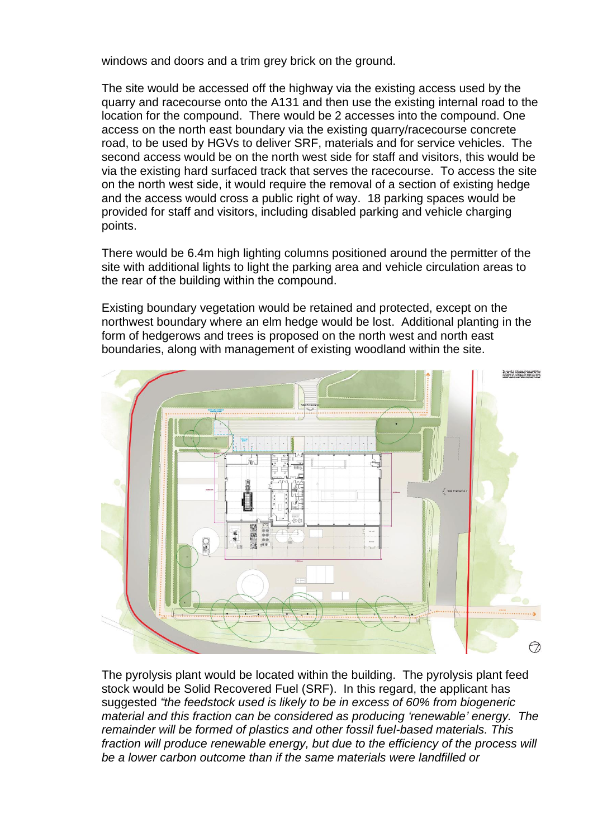windows and doors and a trim grey brick on the ground.

The site would be accessed off the highway via the existing access used by the quarry and racecourse onto the A131 and then use the existing internal road to the location for the compound. There would be 2 accesses into the compound. One access on the north east boundary via the existing quarry/racecourse concrete road, to be used by HGVs to deliver SRF, materials and for service vehicles. The second access would be on the north west side for staff and visitors, this would be via the existing hard surfaced track that serves the racecourse. To access the site on the north west side, it would require the removal of a section of existing hedge and the access would cross a public right of way. 18 parking spaces would be provided for staff and visitors, including disabled parking and vehicle charging points.

There would be 6.4m high lighting columns positioned around the permitter of the site with additional lights to light the parking area and vehicle circulation areas to the rear of the building within the compound.

Existing boundary vegetation would be retained and protected, except on the northwest boundary where an elm hedge would be lost. Additional planting in the form of hedgerows and trees is proposed on the north west and north east boundaries, along with management of existing woodland within the site.



The pyrolysis plant would be located within the building. The pyrolysis plant feed stock would be Solid Recovered Fuel (SRF). In this regard, the applicant has suggested *"the feedstock used is likely to be in excess of 60% from biogeneric material and this fraction can be considered as producing 'renewable' energy. The remainder will be formed of plastics and other fossil fuel-based materials. This fraction will produce renewable energy, but due to the efficiency of the process will be a lower carbon outcome than if the same materials were landfilled or*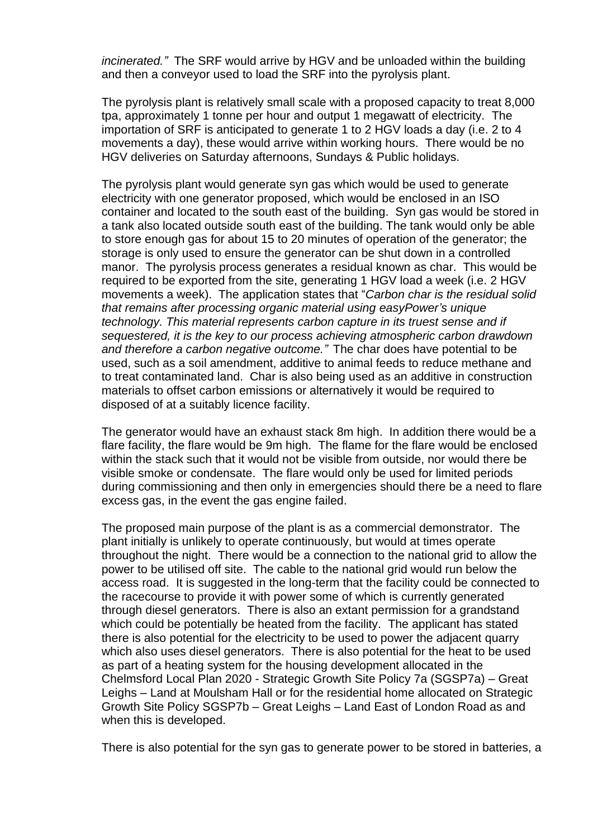*incinerated."* The SRF would arrive by HGV and be unloaded within the building and then a conveyor used to load the SRF into the pyrolysis plant.

The pyrolysis plant is relatively small scale with a proposed capacity to treat 8,000 tpa, approximately 1 tonne per hour and output 1 megawatt of electricity. The importation of SRF is anticipated to generate 1 to 2 HGV loads a day (i.e. 2 to 4 movements a day), these would arrive within working hours. There would be no HGV deliveries on Saturday afternoons, Sundays & Public holidays.

The pyrolysis plant would generate syn gas which would be used to generate electricity with one generator proposed, which would be enclosed in an ISO container and located to the south east of the building. Syn gas would be stored in a tank also located outside south east of the building. The tank would only be able to store enough gas for about 15 to 20 minutes of operation of the generator; the storage is only used to ensure the generator can be shut down in a controlled manor. The pyrolysis process generates a residual known as char. This would be required to be exported from the site, generating 1 HGV load a week (i.e. 2 HGV movements a week). The application states that "*Carbon char is the residual solid that remains after processing organic material using easyPower's unique technology. This material represents carbon capture in its truest sense and if sequestered, it is the key to our process achieving atmospheric carbon drawdown and therefore a carbon negative outcome."* The char does have potential to be used, such as a soil amendment, additive to animal feeds to reduce methane and to treat contaminated land. Char is also being used as an additive in construction materials to offset carbon emissions or alternatively it would be required to disposed of at a suitably licence facility.

The generator would have an exhaust stack 8m high. In addition there would be a flare facility, the flare would be 9m high. The flame for the flare would be enclosed within the stack such that it would not be visible from outside, nor would there be visible smoke or condensate. The flare would only be used for limited periods during commissioning and then only in emergencies should there be a need to flare excess gas, in the event the gas engine failed.

The proposed main purpose of the plant is as a commercial demonstrator. The plant initially is unlikely to operate continuously, but would at times operate throughout the night. There would be a connection to the national grid to allow the power to be utilised off site. The cable to the national grid would run below the access road. It is suggested in the long-term that the facility could be connected to the racecourse to provide it with power some of which is currently generated through diesel generators. There is also an extant permission for a grandstand which could be potentially be heated from the facility. The applicant has stated there is also potential for the electricity to be used to power the adjacent quarry which also uses diesel generators. There is also potential for the heat to be used as part of a heating system for the housing development allocated in the Chelmsford Local Plan 2020 - Strategic Growth Site Policy 7a (SGSP7a) – Great Leighs – Land at Moulsham Hall or for the residential home allocated on Strategic Growth Site Policy SGSP7b – Great Leighs – Land East of London Road as and when this is developed.

There is also potential for the syn gas to generate power to be stored in batteries, a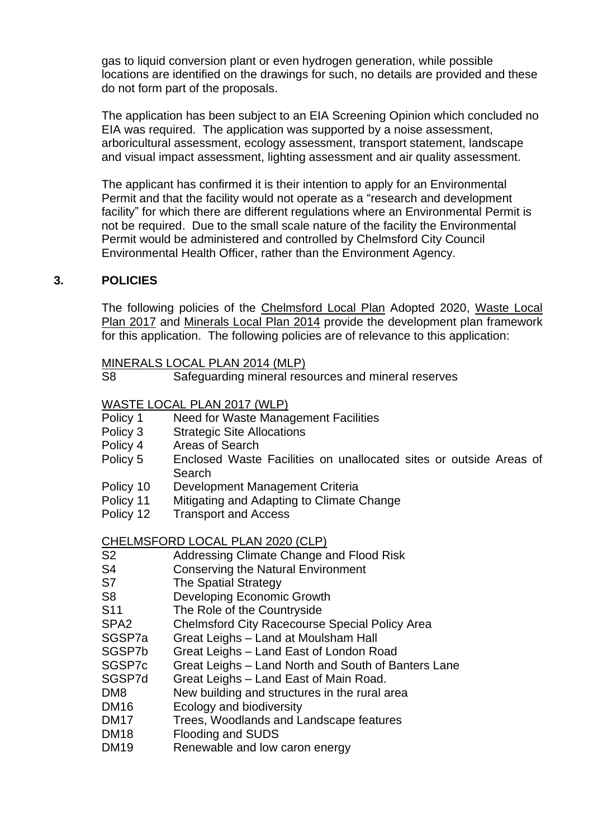gas to liquid conversion plant or even hydrogen generation, while possible locations are identified on the drawings for such, no details are provided and these do not form part of the proposals.

The application has been subject to an EIA Screening Opinion which concluded no EIA was required. The application was supported by a noise assessment, arboricultural assessment, ecology assessment, transport statement, landscape and visual impact assessment, lighting assessment and air quality assessment.

The applicant has confirmed it is their intention to apply for an Environmental Permit and that the facility would not operate as a "research and development facility" for which there are different regulations where an Environmental Permit is not be required. Due to the small scale nature of the facility the Environmental Permit would be administered and controlled by Chelmsford City Council Environmental Health Officer, rather than the Environment Agency.

# **3. POLICIES**

The following policies of the [Chelmsford Local Plan](https://www.chelmsford.gov.uk/_resources/assets/inline/full/0/4671682.pdf) Adopted 2020, [Waste Local](https://assets.ctfassets.net/knkzaf64jx5x/5MMZ5nNFmOClpF56igb0Jc/e6f7ab4cba4ed1198c67b87be7b375e7/waste-local-plan-2017-compressed.pdf)  Plan [2017](https://assets.ctfassets.net/knkzaf64jx5x/5MMZ5nNFmOClpF56igb0Jc/e6f7ab4cba4ed1198c67b87be7b375e7/waste-local-plan-2017-compressed.pdf) and [Minerals Local Plan 2014](https://assets.ctfassets.net/knkzaf64jx5x/5UZuVtnjZbJ81olvZoZKVX/90acfc65df6fa8ee8ab20df3f0cda1c8/essex-minerals-local-plan-adopted-july-2014.pdf) provide the development plan framework for this application. The following policies are of relevance to this application:

|                | MINERALS LOCAL PLAN 2014 (MLP)                      |
|----------------|-----------------------------------------------------|
| S <sub>8</sub> | Safeguarding mineral resources and mineral reserves |
|                |                                                     |

WASTE LOCAL PLAN 2017 (WLP)

- Policy 1 Need for Waste Management Facilities
- Policy 3 Strategic Site Allocations
- Policy 4 Areas of Search
- Policy 5 Enclosed Waste Facilities on unallocated sites or outside Areas of Search
- Policy 10 Development Management Criteria
- Policy 11 Mitigating and Adapting to Climate Change
- Policy 12 Transport and Access

#### CHELMSFORD LOCAL PLAN 2020 (CLP)

| S <sub>2</sub>  | Addressing Climate Change and Flood Risk              |
|-----------------|-------------------------------------------------------|
| S4              | <b>Conserving the Natural Environment</b>             |
| S7              | <b>The Spatial Strategy</b>                           |
| S8              | Developing Economic Growth                            |
| S <sub>11</sub> | The Role of the Countryside                           |
| SPA2            | <b>Chelmsford City Racecourse Special Policy Area</b> |
| SGSP7a          | Great Leighs - Land at Moulsham Hall                  |
| SGSP7b          | Great Leighs - Land East of London Road               |
| SGSP7c          | Great Leighs - Land North and South of Banters Lane   |
| SGSP7d          | Great Leighs - Land East of Main Road.                |
| DM8             | New building and structures in the rural area         |
| <b>DM16</b>     | Ecology and biodiversity                              |
| <b>DM17</b>     | Trees, Woodlands and Landscape features               |
| <b>DM18</b>     | <b>Flooding and SUDS</b>                              |
|                 |                                                       |

DM19 Renewable and low caron energy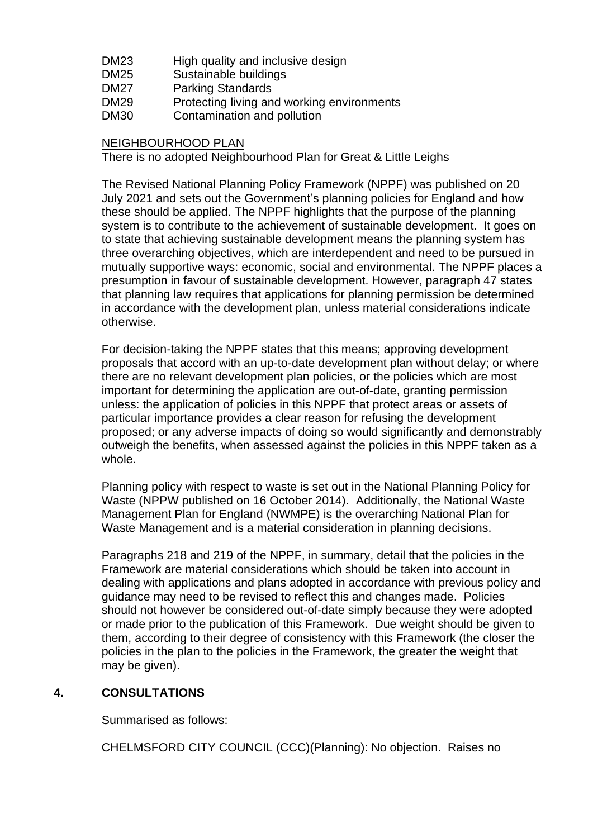| DM23 | High quality and inclusive design |
|------|-----------------------------------|
|------|-----------------------------------|

- DM25 Sustainable buildings
- DM27 Parking Standards
- DM29 Protecting living and working environments
- DM30 Contamination and pollution

## NEIGHBOURHOOD PLAN

There is no adopted Neighbourhood Plan for Great & Little Leighs

The Revised National Planning Policy Framework (NPPF) was published on 20 July 2021 and sets out the Government's planning policies for England and how these should be applied. The NPPF highlights that the purpose of the planning system is to contribute to the achievement of sustainable development. It goes on to state that achieving sustainable development means the planning system has three overarching objectives, which are interdependent and need to be pursued in mutually supportive ways: economic, social and environmental. The NPPF places a presumption in favour of sustainable development. However, paragraph 47 states that planning law requires that applications for planning permission be determined in accordance with the development plan, unless material considerations indicate otherwise.

For decision-taking the NPPF states that this means; approving development proposals that accord with an up-to-date development plan without delay; or where there are no relevant development plan policies, or the policies which are most important for determining the application are out-of-date, granting permission unless: the application of policies in this NPPF that protect areas or assets of particular importance provides a clear reason for refusing the development proposed; or any adverse impacts of doing so would significantly and demonstrably outweigh the benefits, when assessed against the policies in this NPPF taken as a whole.

Planning policy with respect to waste is set out in the National Planning Policy for Waste (NPPW published on 16 October 2014). Additionally, the National Waste Management Plan for England (NWMPE) is the overarching National Plan for Waste Management and is a material consideration in planning decisions.

Paragraphs 218 and 219 of the NPPF, in summary, detail that the policies in the Framework are material considerations which should be taken into account in dealing with applications and plans adopted in accordance with previous policy and guidance may need to be revised to reflect this and changes made. Policies should not however be considered out-of-date simply because they were adopted or made prior to the publication of this Framework. Due weight should be given to them, according to their degree of consistency with this Framework (the closer the policies in the plan to the policies in the Framework, the greater the weight that may be given).

# **4. CONSULTATIONS**

Summarised as follows:

CHELMSFORD CITY COUNCIL (CCC)(Planning): No objection. Raises no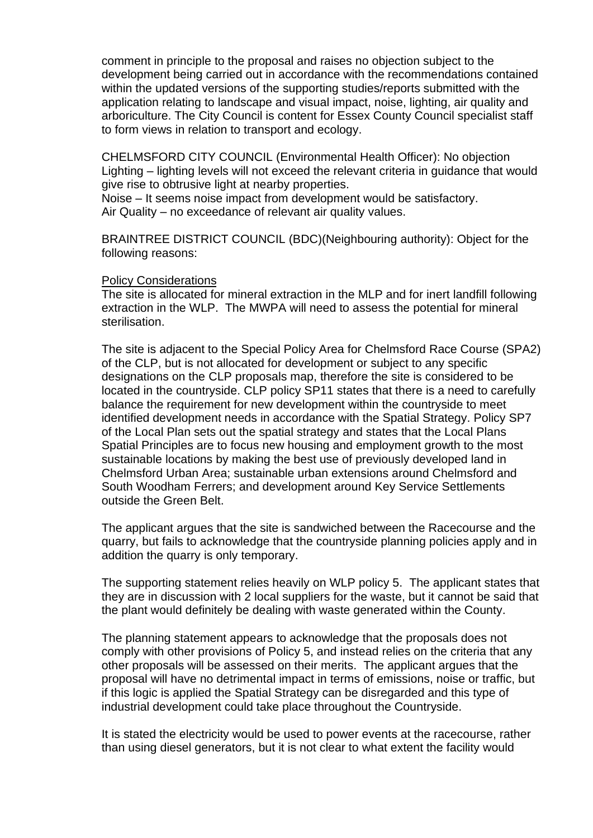comment in principle to the proposal and raises no objection subject to the development being carried out in accordance with the recommendations contained within the updated versions of the supporting studies/reports submitted with the application relating to landscape and visual impact, noise, lighting, air quality and arboriculture. The City Council is content for Essex County Council specialist staff to form views in relation to transport and ecology.

CHELMSFORD CITY COUNCIL (Environmental Health Officer): No objection Lighting – lighting levels will not exceed the relevant criteria in guidance that would give rise to obtrusive light at nearby properties.

Noise – It seems noise impact from development would be satisfactory. Air Quality – no exceedance of relevant air quality values.

BRAINTREE DISTRICT COUNCIL (BDC)(Neighbouring authority): Object for the following reasons:

#### Policy Considerations

The site is allocated for mineral extraction in the MLP and for inert landfill following extraction in the WLP. The MWPA will need to assess the potential for mineral sterilisation.

The site is adjacent to the Special Policy Area for Chelmsford Race Course (SPA2) of the CLP, but is not allocated for development or subject to any specific designations on the CLP proposals map, therefore the site is considered to be located in the countryside. CLP policy SP11 states that there is a need to carefully balance the requirement for new development within the countryside to meet identified development needs in accordance with the Spatial Strategy. Policy SP7 of the Local Plan sets out the spatial strategy and states that the Local Plans Spatial Principles are to focus new housing and employment growth to the most sustainable locations by making the best use of previously developed land in Chelmsford Urban Area; sustainable urban extensions around Chelmsford and South Woodham Ferrers; and development around Key Service Settlements outside the Green Belt.

The applicant argues that the site is sandwiched between the Racecourse and the quarry, but fails to acknowledge that the countryside planning policies apply and in addition the quarry is only temporary.

The supporting statement relies heavily on WLP policy 5. The applicant states that they are in discussion with 2 local suppliers for the waste, but it cannot be said that the plant would definitely be dealing with waste generated within the County.

The planning statement appears to acknowledge that the proposals does not comply with other provisions of Policy 5, and instead relies on the criteria that any other proposals will be assessed on their merits. The applicant argues that the proposal will have no detrimental impact in terms of emissions, noise or traffic, but if this logic is applied the Spatial Strategy can be disregarded and this type of industrial development could take place throughout the Countryside.

It is stated the electricity would be used to power events at the racecourse, rather than using diesel generators, but it is not clear to what extent the facility would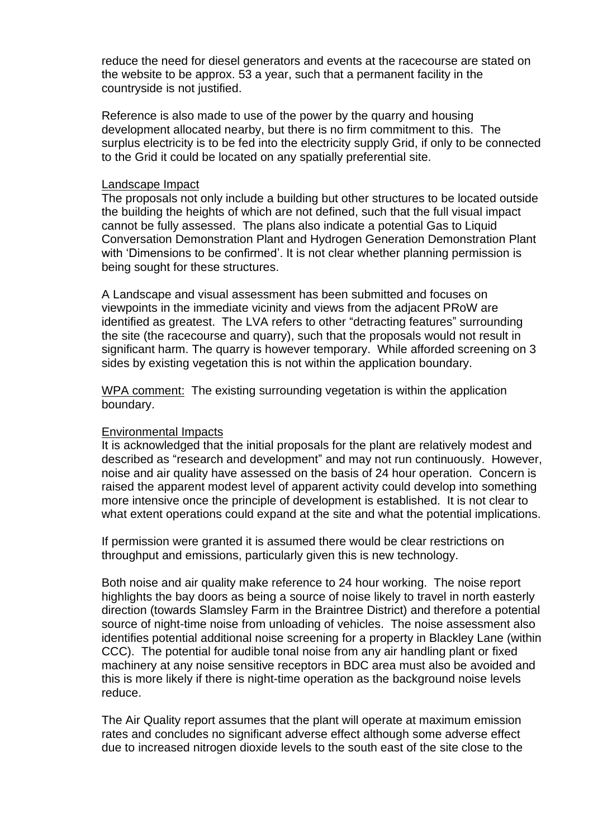reduce the need for diesel generators and events at the racecourse are stated on the website to be approx. 53 a year, such that a permanent facility in the countryside is not justified.

Reference is also made to use of the power by the quarry and housing development allocated nearby, but there is no firm commitment to this. The surplus electricity is to be fed into the electricity supply Grid, if only to be connected to the Grid it could be located on any spatially preferential site.

#### Landscape Impact

The proposals not only include a building but other structures to be located outside the building the heights of which are not defined, such that the full visual impact cannot be fully assessed. The plans also indicate a potential Gas to Liquid Conversation Demonstration Plant and Hydrogen Generation Demonstration Plant with 'Dimensions to be confirmed'. It is not clear whether planning permission is being sought for these structures.

A Landscape and visual assessment has been submitted and focuses on viewpoints in the immediate vicinity and views from the adjacent PRoW are identified as greatest. The LVA refers to other "detracting features" surrounding the site (the racecourse and quarry), such that the proposals would not result in significant harm. The quarry is however temporary. While afforded screening on 3 sides by existing vegetation this is not within the application boundary.

WPA comment: The existing surrounding vegetation is within the application boundary.

#### Environmental Impacts

It is acknowledged that the initial proposals for the plant are relatively modest and described as "research and development" and may not run continuously. However, noise and air quality have assessed on the basis of 24 hour operation. Concern is raised the apparent modest level of apparent activity could develop into something more intensive once the principle of development is established. It is not clear to what extent operations could expand at the site and what the potential implications.

If permission were granted it is assumed there would be clear restrictions on throughput and emissions, particularly given this is new technology.

Both noise and air quality make reference to 24 hour working. The noise report highlights the bay doors as being a source of noise likely to travel in north easterly direction (towards Slamsley Farm in the Braintree District) and therefore a potential source of night-time noise from unloading of vehicles. The noise assessment also identifies potential additional noise screening for a property in Blackley Lane (within CCC). The potential for audible tonal noise from any air handling plant or fixed machinery at any noise sensitive receptors in BDC area must also be avoided and this is more likely if there is night-time operation as the background noise levels reduce.

The Air Quality report assumes that the plant will operate at maximum emission rates and concludes no significant adverse effect although some adverse effect due to increased nitrogen dioxide levels to the south east of the site close to the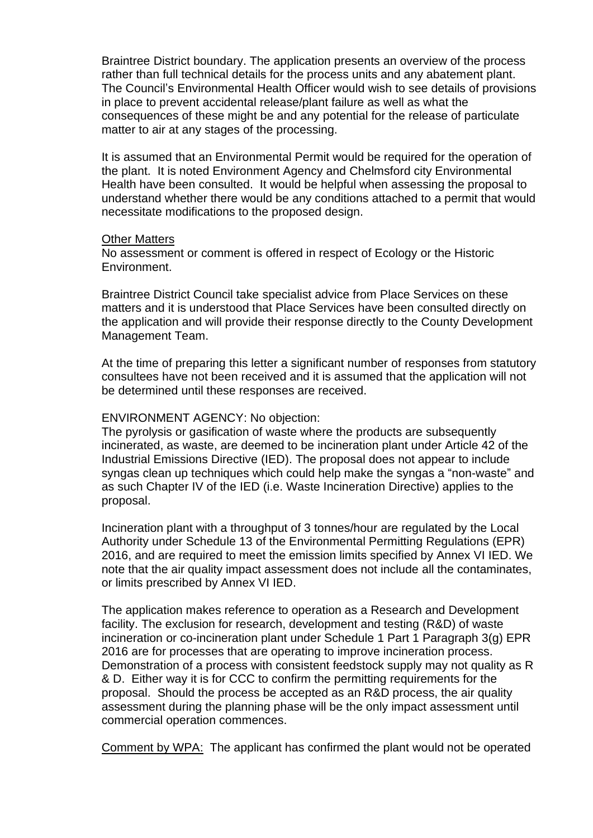Braintree District boundary. The application presents an overview of the process rather than full technical details for the process units and any abatement plant. The Council's Environmental Health Officer would wish to see details of provisions in place to prevent accidental release/plant failure as well as what the consequences of these might be and any potential for the release of particulate matter to air at any stages of the processing.

It is assumed that an Environmental Permit would be required for the operation of the plant. It is noted Environment Agency and Chelmsford city Environmental Health have been consulted. It would be helpful when assessing the proposal to understand whether there would be any conditions attached to a permit that would necessitate modifications to the proposed design.

#### Other Matters

No assessment or comment is offered in respect of Ecology or the Historic Environment.

Braintree District Council take specialist advice from Place Services on these matters and it is understood that Place Services have been consulted directly on the application and will provide their response directly to the County Development Management Team.

At the time of preparing this letter a significant number of responses from statutory consultees have not been received and it is assumed that the application will not be determined until these responses are received.

#### ENVIRONMENT AGENCY: No objection:

The pyrolysis or gasification of waste where the products are subsequently incinerated, as waste, are deemed to be incineration plant under Article 42 of the Industrial Emissions Directive (IED). The proposal does not appear to include syngas clean up techniques which could help make the syngas a "non-waste" and as such Chapter IV of the IED (i.e. Waste Incineration Directive) applies to the proposal.

Incineration plant with a throughput of 3 tonnes/hour are regulated by the Local Authority under Schedule 13 of the Environmental Permitting Regulations (EPR) 2016, and are required to meet the emission limits specified by Annex VI IED. We note that the air quality impact assessment does not include all the contaminates, or limits prescribed by Annex VI IED.

The application makes reference to operation as a Research and Development facility. The exclusion for research, development and testing (R&D) of waste incineration or co-incineration plant under Schedule 1 Part 1 Paragraph 3(g) EPR 2016 are for processes that are operating to improve incineration process. Demonstration of a process with consistent feedstock supply may not quality as R & D. Either way it is for CCC to confirm the permitting requirements for the proposal. Should the process be accepted as an R&D process, the air quality assessment during the planning phase will be the only impact assessment until commercial operation commences.

Comment by WPA: The applicant has confirmed the plant would not be operated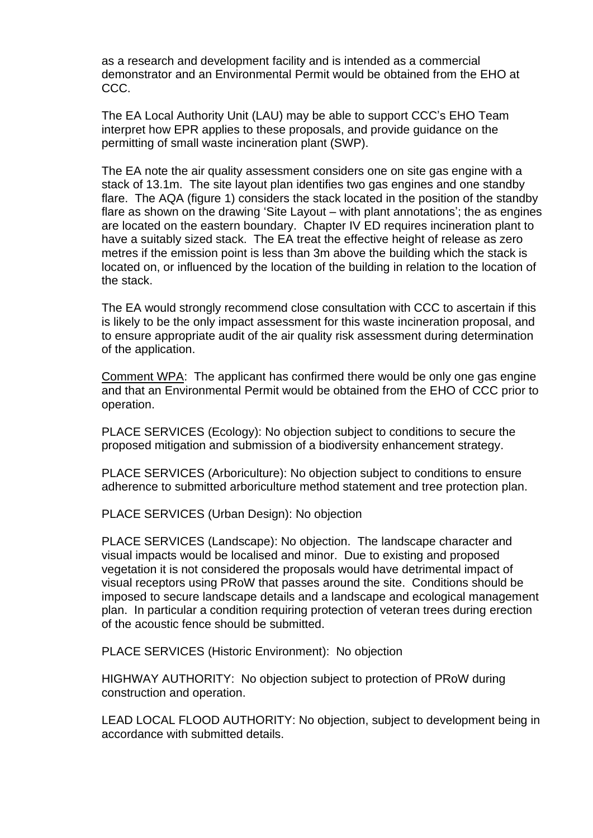as a research and development facility and is intended as a commercial demonstrator and an Environmental Permit would be obtained from the EHO at CCC.

The EA Local Authority Unit (LAU) may be able to support CCC's EHO Team interpret how EPR applies to these proposals, and provide guidance on the permitting of small waste incineration plant (SWP).

The EA note the air quality assessment considers one on site gas engine with a stack of 13.1m. The site layout plan identifies two gas engines and one standby flare. The AQA (figure 1) considers the stack located in the position of the standby flare as shown on the drawing 'Site Layout – with plant annotations'; the as engines are located on the eastern boundary. Chapter IV ED requires incineration plant to have a suitably sized stack. The EA treat the effective height of release as zero metres if the emission point is less than 3m above the building which the stack is located on, or influenced by the location of the building in relation to the location of the stack.

The EA would strongly recommend close consultation with CCC to ascertain if this is likely to be the only impact assessment for this waste incineration proposal, and to ensure appropriate audit of the air quality risk assessment during determination of the application.

Comment WPA: The applicant has confirmed there would be only one gas engine and that an Environmental Permit would be obtained from the EHO of CCC prior to operation.

PLACE SERVICES (Ecology): No objection subject to conditions to secure the proposed mitigation and submission of a biodiversity enhancement strategy.

PLACE SERVICES (Arboriculture): No objection subject to conditions to ensure adherence to submitted arboriculture method statement and tree protection plan.

PLACE SERVICES (Urban Design): No objection

PLACE SERVICES (Landscape): No objection. The landscape character and visual impacts would be localised and minor. Due to existing and proposed vegetation it is not considered the proposals would have detrimental impact of visual receptors using PRoW that passes around the site. Conditions should be imposed to secure landscape details and a landscape and ecological management plan. In particular a condition requiring protection of veteran trees during erection of the acoustic fence should be submitted.

PLACE SERVICES (Historic Environment): No objection

HIGHWAY AUTHORITY: No objection subject to protection of PRoW during construction and operation.

LEAD LOCAL FLOOD AUTHORITY: No objection, subject to development being in accordance with submitted details.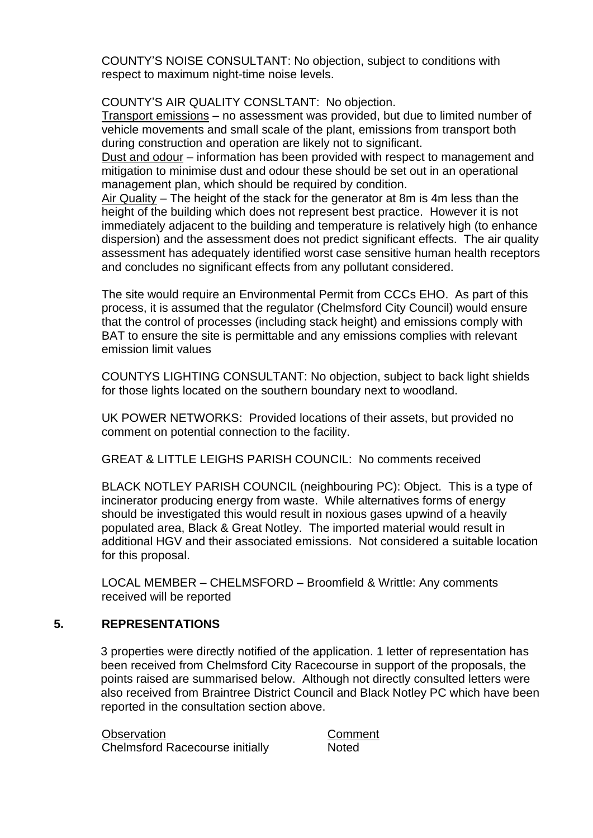COUNTY'S NOISE CONSULTANT: No objection, subject to conditions with respect to maximum night-time noise levels.

## COUNTY'S AIR QUALITY CONSLTANT: No objection.

Transport emissions – no assessment was provided, but due to limited number of vehicle movements and small scale of the plant, emissions from transport both during construction and operation are likely not to significant.

Dust and odour – information has been provided with respect to management and mitigation to minimise dust and odour these should be set out in an operational management plan, which should be required by condition.

Air Quality – The height of the stack for the generator at 8m is 4m less than the height of the building which does not represent best practice. However it is not immediately adjacent to the building and temperature is relatively high (to enhance dispersion) and the assessment does not predict significant effects. The air quality assessment has adequately identified worst case sensitive human health receptors and concludes no significant effects from any pollutant considered.

The site would require an Environmental Permit from CCCs EHO. As part of this process, it is assumed that the regulator (Chelmsford City Council) would ensure that the control of processes (including stack height) and emissions comply with BAT to ensure the site is permittable and any emissions complies with relevant emission limit values

COUNTYS LIGHTING CONSULTANT: No objection, subject to back light shields for those lights located on the southern boundary next to woodland.

UK POWER NETWORKS: Provided locations of their assets, but provided no comment on potential connection to the facility.

GREAT & LITTLE LEIGHS PARISH COUNCIL: No comments received

BLACK NOTLEY PARISH COUNCIL (neighbouring PC): Object. This is a type of incinerator producing energy from waste. While alternatives forms of energy should be investigated this would result in noxious gases upwind of a heavily populated area, Black & Great Notley. The imported material would result in additional HGV and their associated emissions. Not considered a suitable location for this proposal.

LOCAL MEMBER – CHELMSFORD – Broomfield & Writtle: Any comments received will be reported

# **5. REPRESENTATIONS**

3 properties were directly notified of the application. 1 letter of representation has been received from Chelmsford City Racecourse in support of the proposals, the points raised are summarised below. Although not directly consulted letters were also received from Braintree District Council and Black Notley PC which have been reported in the consultation section above.

Observation Comment Chelmsford Racecourse initially Noted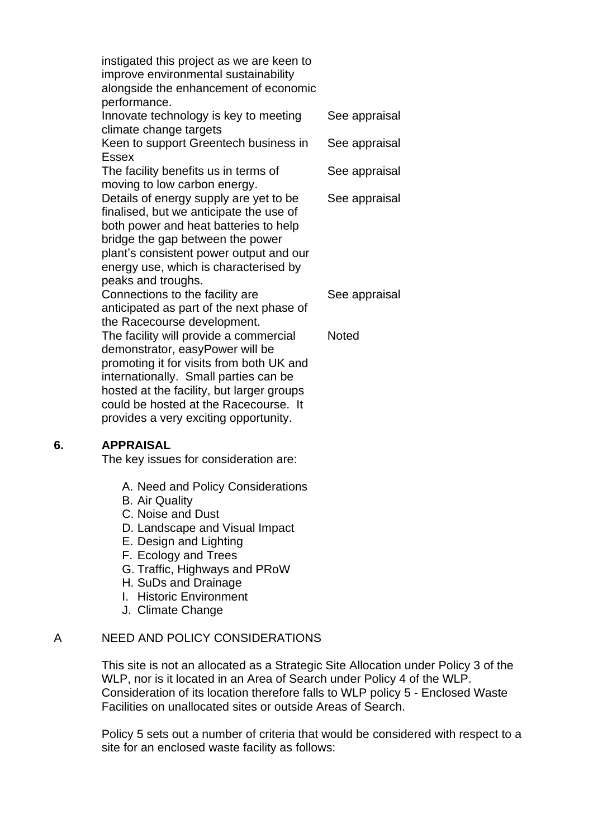| instigated this project as we are keen to<br>improve environmental sustainability<br>alongside the enhancement of economic<br>performance.                                                                                                                                                                                   |               |
|------------------------------------------------------------------------------------------------------------------------------------------------------------------------------------------------------------------------------------------------------------------------------------------------------------------------------|---------------|
| Innovate technology is key to meeting<br>climate change targets                                                                                                                                                                                                                                                              | See appraisal |
| Keen to support Greentech business in<br><b>Essex</b>                                                                                                                                                                                                                                                                        | See appraisal |
| The facility benefits us in terms of<br>moving to low carbon energy.                                                                                                                                                                                                                                                         | See appraisal |
| Details of energy supply are yet to be<br>finalised, but we anticipate the use of<br>both power and heat batteries to help<br>bridge the gap between the power<br>plant's consistent power output and our<br>energy use, which is characterised by<br>peaks and troughs.                                                     | See appraisal |
| Connections to the facility are<br>anticipated as part of the next phase of                                                                                                                                                                                                                                                  | See appraisal |
| the Racecourse development.<br>The facility will provide a commercial<br>demonstrator, easyPower will be<br>promoting it for visits from both UK and<br>internationally. Small parties can be<br>hosted at the facility, but larger groups<br>could be hosted at the Racecourse. It<br>provides a very exciting opportunity. | <b>Noted</b>  |

#### **6. APPRAISAL**

The key issues for consideration are:

- A. Need and Policy Considerations
- B. Air Quality
- C. Noise and Dust
- D. Landscape and Visual Impact
- E. Design and Lighting
- F. Ecology and Trees
- G. Traffic, Highways and PRoW
- H. SuDs and Drainage
- I. Historic Environment
- J. Climate Change

## A NEED AND POLICY CONSIDERATIONS

This site is not an allocated as a Strategic Site Allocation under Policy 3 of the WLP, nor is it located in an Area of Search under Policy 4 of the WLP. Consideration of its location therefore falls to WLP policy 5 - Enclosed Waste Facilities on unallocated sites or outside Areas of Search.

Policy 5 sets out a number of criteria that would be considered with respect to a site for an enclosed waste facility as follows: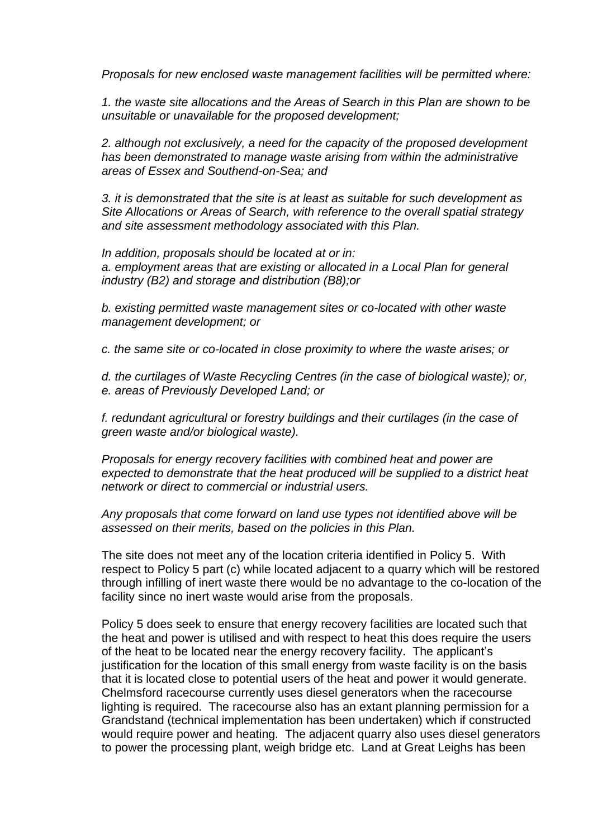*Proposals for new enclosed waste management facilities will be permitted where:*

*1. the waste site allocations and the Areas of Search in this Plan are shown to be unsuitable or unavailable for the proposed development;*

*2. although not exclusively, a need for the capacity of the proposed development has been demonstrated to manage waste arising from within the administrative areas of Essex and Southend-on-Sea; and*

*3. it is demonstrated that the site is at least as suitable for such development as Site Allocations or Areas of Search, with reference to the overall spatial strategy and site assessment methodology associated with this Plan.*

*In addition, proposals should be located at or in: a. employment areas that are existing or allocated in a Local Plan for general industry (B2) and storage and distribution (B8);or*

*b. existing permitted waste management sites or co-located with other waste management development; or*

*c. the same site or co-located in close proximity to where the waste arises; or*

*d. the curtilages of Waste Recycling Centres (in the case of biological waste); or, e. areas of Previously Developed Land; or*

*f. redundant agricultural or forestry buildings and their curtilages (in the case of green waste and/or biological waste).*

*Proposals for energy recovery facilities with combined heat and power are expected to demonstrate that the heat produced will be supplied to a district heat network or direct to commercial or industrial users.*

#### *Any proposals that come forward on land use types not identified above will be assessed on their merits, based on the policies in this Plan.*

The site does not meet any of the location criteria identified in Policy 5. With respect to Policy 5 part (c) while located adjacent to a quarry which will be restored through infilling of inert waste there would be no advantage to the co-location of the facility since no inert waste would arise from the proposals.

Policy 5 does seek to ensure that energy recovery facilities are located such that the heat and power is utilised and with respect to heat this does require the users of the heat to be located near the energy recovery facility. The applicant's justification for the location of this small energy from waste facility is on the basis that it is located close to potential users of the heat and power it would generate. Chelmsford racecourse currently uses diesel generators when the racecourse lighting is required. The racecourse also has an extant planning permission for a Grandstand (technical implementation has been undertaken) which if constructed would require power and heating. The adjacent quarry also uses diesel generators to power the processing plant, weigh bridge etc. Land at Great Leighs has been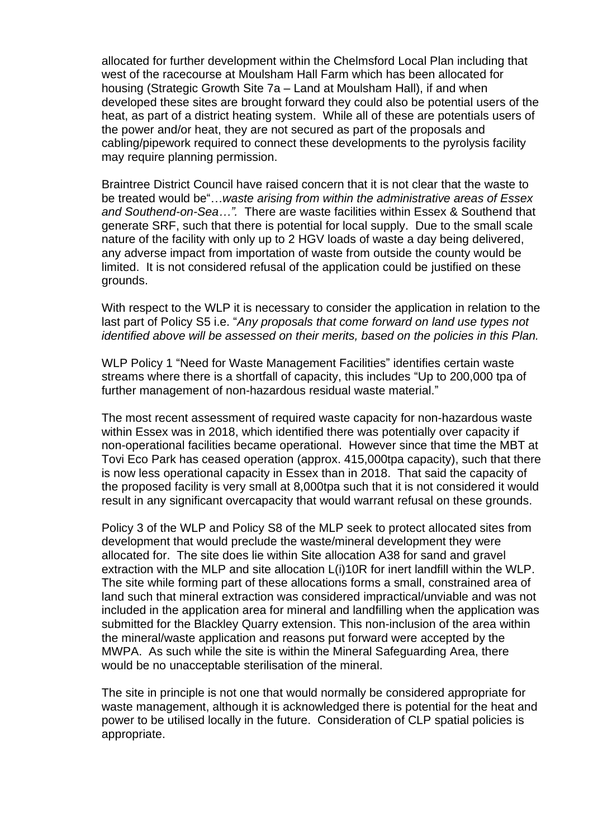allocated for further development within the Chelmsford Local Plan including that west of the racecourse at Moulsham Hall Farm which has been allocated for housing (Strategic Growth Site 7a – Land at Moulsham Hall), if and when developed these sites are brought forward they could also be potential users of the heat, as part of a district heating system. While all of these are potentials users of the power and/or heat, they are not secured as part of the proposals and cabling/pipework required to connect these developments to the pyrolysis facility may require planning permission.

Braintree District Council have raised concern that it is not clear that the waste to be treated would be"…*waste arising from within the administrative areas of Essex and Southend-on-Sea…".* There are waste facilities within Essex & Southend that generate SRF, such that there is potential for local supply. Due to the small scale nature of the facility with only up to 2 HGV loads of waste a day being delivered, any adverse impact from importation of waste from outside the county would be limited. It is not considered refusal of the application could be justified on these grounds.

With respect to the WLP it is necessary to consider the application in relation to the last part of Policy S5 i.e. "*Any proposals that come forward on land use types not identified above will be assessed on their merits, based on the policies in this Plan.*

WLP Policy 1 "Need for Waste Management Facilities" identifies certain waste streams where there is a shortfall of capacity, this includes "Up to 200,000 tpa of further management of non-hazardous residual waste material."

The most recent assessment of required waste capacity for non-hazardous waste within Essex was in 2018, which identified there was potentially over capacity if non-operational facilities became operational. However since that time the MBT at Tovi Eco Park has ceased operation (approx. 415,000tpa capacity), such that there is now less operational capacity in Essex than in 2018. That said the capacity of the proposed facility is very small at 8,000tpa such that it is not considered it would result in any significant overcapacity that would warrant refusal on these grounds.

Policy 3 of the WLP and Policy S8 of the MLP seek to protect allocated sites from development that would preclude the waste/mineral development they were allocated for. The site does lie within Site allocation A38 for sand and gravel extraction with the MLP and site allocation L(i)10R for inert landfill within the WLP. The site while forming part of these allocations forms a small, constrained area of land such that mineral extraction was considered impractical/unviable and was not included in the application area for mineral and landfilling when the application was submitted for the Blackley Quarry extension. This non-inclusion of the area within the mineral/waste application and reasons put forward were accepted by the MWPA. As such while the site is within the Mineral Safeguarding Area, there would be no unacceptable sterilisation of the mineral.

The site in principle is not one that would normally be considered appropriate for waste management, although it is acknowledged there is potential for the heat and power to be utilised locally in the future. Consideration of CLP spatial policies is appropriate.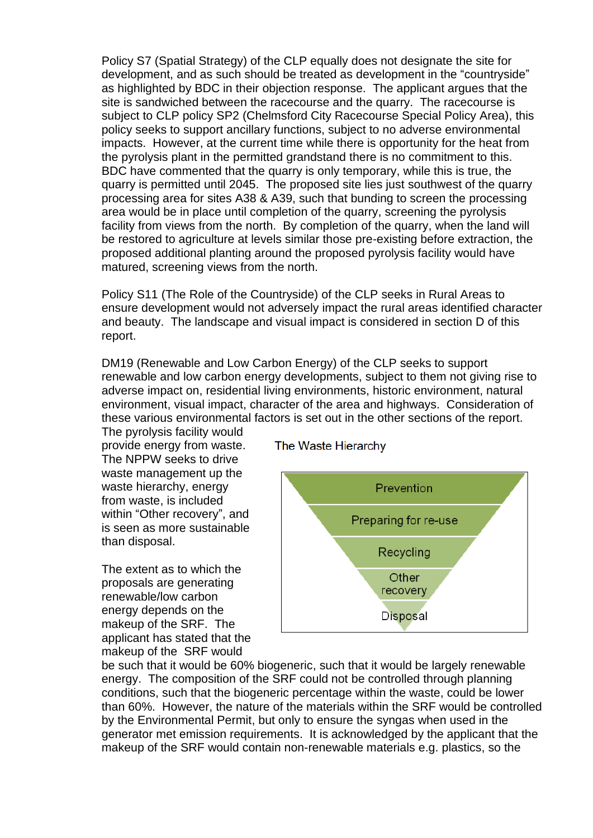Policy S7 (Spatial Strategy) of the CLP equally does not designate the site for development, and as such should be treated as development in the "countryside" as highlighted by BDC in their objection response. The applicant argues that the site is sandwiched between the racecourse and the quarry. The racecourse is subject to CLP policy SP2 (Chelmsford City Racecourse Special Policy Area), this policy seeks to support ancillary functions, subject to no adverse environmental impacts. However, at the current time while there is opportunity for the heat from the pyrolysis plant in the permitted grandstand there is no commitment to this. BDC have commented that the quarry is only temporary, while this is true, the quarry is permitted until 2045. The proposed site lies just southwest of the quarry processing area for sites A38 & A39, such that bunding to screen the processing area would be in place until completion of the quarry, screening the pyrolysis facility from views from the north. By completion of the quarry, when the land will be restored to agriculture at levels similar those pre-existing before extraction, the proposed additional planting around the proposed pyrolysis facility would have matured, screening views from the north.

Policy S11 (The Role of the Countryside) of the CLP seeks in Rural Areas to ensure development would not adversely impact the rural areas identified character and beauty. The landscape and visual impact is considered in section D of this report.

DM19 (Renewable and Low Carbon Energy) of the CLP seeks to support renewable and low carbon energy developments, subject to them not giving rise to adverse impact on, residential living environments, historic environment, natural environment, visual impact, character of the area and highways. Consideration of these various environmental factors is set out in the other sections of the report.

The pyrolysis facility would provide energy from waste. The NPPW seeks to drive waste management up the waste hierarchy, energy from waste, is included within "Other recovery", and is seen as more sustainable than disposal.

The extent as to which the proposals are generating renewable/low carbon energy depends on the makeup of the SRF. The applicant has stated that the makeup of the SRF would

The Waste Hierarchy



be such that it would be 60% biogeneric, such that it would be largely renewable energy. The composition of the SRF could not be controlled through planning conditions, such that the biogeneric percentage within the waste, could be lower than 60%. However, the nature of the materials within the SRF would be controlled by the Environmental Permit, but only to ensure the syngas when used in the generator met emission requirements. It is acknowledged by the applicant that the makeup of the SRF would contain non-renewable materials e.g. plastics, so the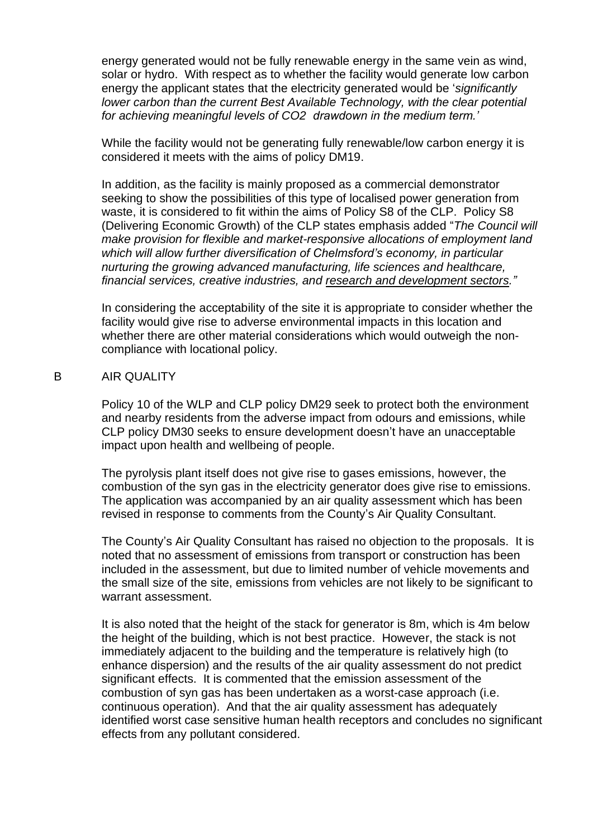energy generated would not be fully renewable energy in the same vein as wind, solar or hydro. With respect as to whether the facility would generate low carbon energy the applicant states that the electricity generated would be '*significantly lower carbon than the current Best Available Technology, with the clear potential for achieving meaningful levels of CO2 drawdown in the medium term.'*

While the facility would not be generating fully renewable/low carbon energy it is considered it meets with the aims of policy DM19.

In addition, as the facility is mainly proposed as a commercial demonstrator seeking to show the possibilities of this type of localised power generation from waste, it is considered to fit within the aims of Policy S8 of the CLP. Policy S8 (Delivering Economic Growth) of the CLP states emphasis added "*The Council will make provision for flexible and market-responsive allocations of employment land which will allow further diversification of Chelmsford's economy, in particular nurturing the growing advanced manufacturing, life sciences and healthcare, financial services, creative industries, and research and development sectors."* 

In considering the acceptability of the site it is appropriate to consider whether the facility would give rise to adverse environmental impacts in this location and whether there are other material considerations which would outweigh the noncompliance with locational policy.

#### B AIR QUALITY

Policy 10 of the WLP and CLP policy DM29 seek to protect both the environment and nearby residents from the adverse impact from odours and emissions, while CLP policy DM30 seeks to ensure development doesn't have an unacceptable impact upon health and wellbeing of people.

The pyrolysis plant itself does not give rise to gases emissions, however, the combustion of the syn gas in the electricity generator does give rise to emissions. The application was accompanied by an air quality assessment which has been revised in response to comments from the County's Air Quality Consultant.

The County's Air Quality Consultant has raised no objection to the proposals. It is noted that no assessment of emissions from transport or construction has been included in the assessment, but due to limited number of vehicle movements and the small size of the site, emissions from vehicles are not likely to be significant to warrant assessment.

It is also noted that the height of the stack for generator is 8m, which is 4m below the height of the building, which is not best practice. However, the stack is not immediately adjacent to the building and the temperature is relatively high (to enhance dispersion) and the results of the air quality assessment do not predict significant effects. It is commented that the emission assessment of the combustion of syn gas has been undertaken as a worst-case approach (i.e. continuous operation). And that the air quality assessment has adequately identified worst case sensitive human health receptors and concludes no significant effects from any pollutant considered.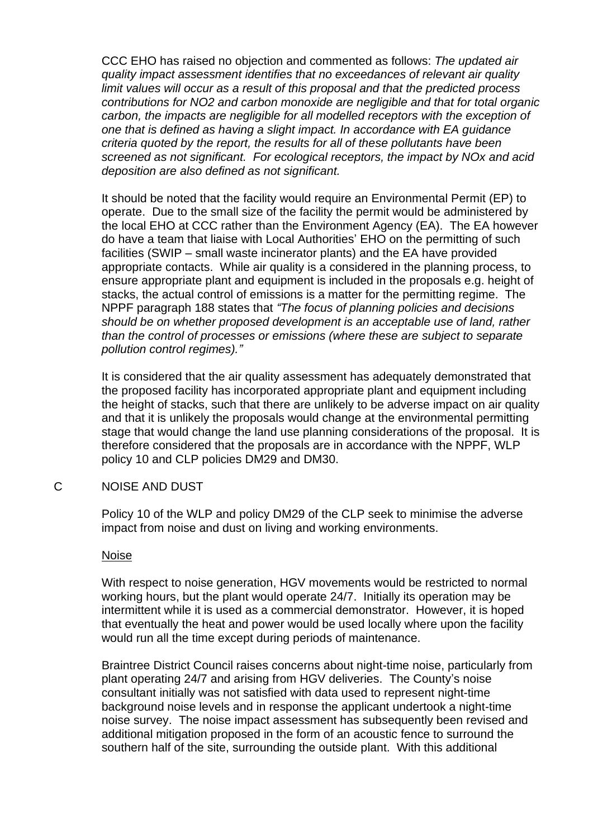CCC EHO has raised no objection and commented as follows: *The updated air quality impact assessment identifies that no exceedances of relevant air quality limit values will occur as a result of this proposal and that the predicted process contributions for NO2 and carbon monoxide are negligible and that for total organic carbon, the impacts are negligible for all modelled receptors with the exception of one that is defined as having a slight impact. In accordance with EA guidance criteria quoted by the report, the results for all of these pollutants have been screened as not significant. For ecological receptors, the impact by NOx and acid deposition are also defined as not significant.*

It should be noted that the facility would require an Environmental Permit (EP) to operate. Due to the small size of the facility the permit would be administered by the local EHO at CCC rather than the Environment Agency (EA). The EA however do have a team that liaise with Local Authorities' EHO on the permitting of such facilities (SWIP – small waste incinerator plants) and the EA have provided appropriate contacts. While air quality is a considered in the planning process, to ensure appropriate plant and equipment is included in the proposals e.g. height of stacks, the actual control of emissions is a matter for the permitting regime. The NPPF paragraph 188 states that *"The focus of planning policies and decisions should be on whether proposed development is an acceptable use of land, rather than the control of processes or emissions (where these are subject to separate pollution control regimes)."*

It is considered that the air quality assessment has adequately demonstrated that the proposed facility has incorporated appropriate plant and equipment including the height of stacks, such that there are unlikely to be adverse impact on air quality and that it is unlikely the proposals would change at the environmental permitting stage that would change the land use planning considerations of the proposal. It is therefore considered that the proposals are in accordance with the NPPF, WLP policy 10 and CLP policies DM29 and DM30.

C NOISE AND DUST

Policy 10 of the WLP and policy DM29 of the CLP seek to minimise the adverse impact from noise and dust on living and working environments.

#### Noise

With respect to noise generation, HGV movements would be restricted to normal working hours, but the plant would operate 24/7. Initially its operation may be intermittent while it is used as a commercial demonstrator. However, it is hoped that eventually the heat and power would be used locally where upon the facility would run all the time except during periods of maintenance.

Braintree District Council raises concerns about night-time noise, particularly from plant operating 24/7 and arising from HGV deliveries. The County's noise consultant initially was not satisfied with data used to represent night-time background noise levels and in response the applicant undertook a night-time noise survey. The noise impact assessment has subsequently been revised and additional mitigation proposed in the form of an acoustic fence to surround the southern half of the site, surrounding the outside plant. With this additional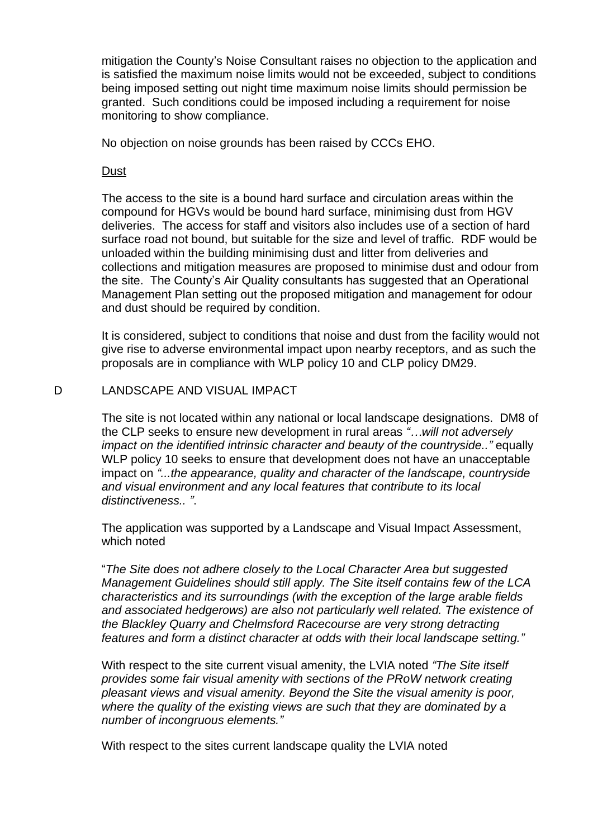mitigation the County's Noise Consultant raises no objection to the application and is satisfied the maximum noise limits would not be exceeded, subject to conditions being imposed setting out night time maximum noise limits should permission be granted. Such conditions could be imposed including a requirement for noise monitoring to show compliance.

No objection on noise grounds has been raised by CCCs EHO.

#### **Dust**

The access to the site is a bound hard surface and circulation areas within the compound for HGVs would be bound hard surface, minimising dust from HGV deliveries. The access for staff and visitors also includes use of a section of hard surface road not bound, but suitable for the size and level of traffic. RDF would be unloaded within the building minimising dust and litter from deliveries and collections and mitigation measures are proposed to minimise dust and odour from the site. The County's Air Quality consultants has suggested that an Operational Management Plan setting out the proposed mitigation and management for odour and dust should be required by condition.

It is considered, subject to conditions that noise and dust from the facility would not give rise to adverse environmental impact upon nearby receptors, and as such the proposals are in compliance with WLP policy 10 and CLP policy DM29.

## D LANDSCAPE AND VISUAL IMPACT

The site is not located within any national or local landscape designations. DM8 of the CLP seeks to ensure new development in rural areas *"…will not adversely impact on the identified intrinsic character and beauty of the countryside.."* equally WLP policy 10 seeks to ensure that development does not have an unacceptable impact on *"...the appearance, quality and character of the landscape, countryside and visual environment and any local features that contribute to its local distinctiveness.. "*.

The application was supported by a Landscape and Visual Impact Assessment, which noted

"*The Site does not adhere closely to the Local Character Area but suggested Management Guidelines should still apply. The Site itself contains few of the LCA characteristics and its surroundings (with the exception of the large arable fields and associated hedgerows) are also not particularly well related. The existence of the Blackley Quarry and Chelmsford Racecourse are very strong detracting features and form a distinct character at odds with their local landscape setting."*

With respect to the site current visual amenity, the LVIA noted *"The Site itself provides some fair visual amenity with sections of the PRoW network creating pleasant views and visual amenity. Beyond the Site the visual amenity is poor, where the quality of the existing views are such that they are dominated by a number of incongruous elements."*

With respect to the sites current landscape quality the LVIA noted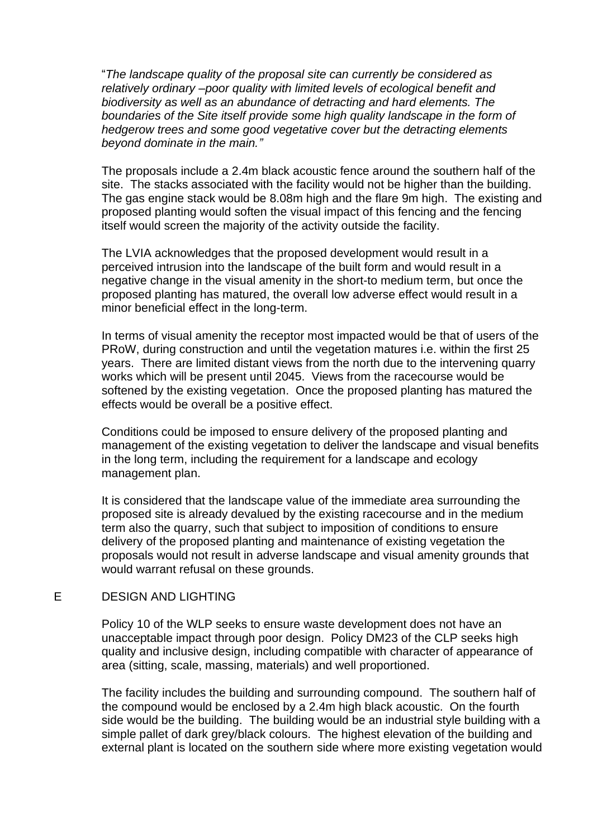"*The landscape quality of the proposal site can currently be considered as relatively ordinary –poor quality with limited levels of ecological benefit and biodiversity as well as an abundance of detracting and hard elements. The boundaries of the Site itself provide some high quality landscape in the form of hedgerow trees and some good vegetative cover but the detracting elements beyond dominate in the main."*

The proposals include a 2.4m black acoustic fence around the southern half of the site. The stacks associated with the facility would not be higher than the building. The gas engine stack would be 8.08m high and the flare 9m high. The existing and proposed planting would soften the visual impact of this fencing and the fencing itself would screen the majority of the activity outside the facility.

The LVIA acknowledges that the proposed development would result in a perceived intrusion into the landscape of the built form and would result in a negative change in the visual amenity in the short-to medium term, but once the proposed planting has matured, the overall low adverse effect would result in a minor beneficial effect in the long-term.

In terms of visual amenity the receptor most impacted would be that of users of the PRoW, during construction and until the vegetation matures i.e. within the first 25 years. There are limited distant views from the north due to the intervening quarry works which will be present until 2045. Views from the racecourse would be softened by the existing vegetation. Once the proposed planting has matured the effects would be overall be a positive effect.

Conditions could be imposed to ensure delivery of the proposed planting and management of the existing vegetation to deliver the landscape and visual benefits in the long term, including the requirement for a landscape and ecology management plan.

It is considered that the landscape value of the immediate area surrounding the proposed site is already devalued by the existing racecourse and in the medium term also the quarry, such that subject to imposition of conditions to ensure delivery of the proposed planting and maintenance of existing vegetation the proposals would not result in adverse landscape and visual amenity grounds that would warrant refusal on these grounds.

## E DESIGN AND LIGHTING

Policy 10 of the WLP seeks to ensure waste development does not have an unacceptable impact through poor design. Policy DM23 of the CLP seeks high quality and inclusive design, including compatible with character of appearance of area (sitting, scale, massing, materials) and well proportioned.

The facility includes the building and surrounding compound. The southern half of the compound would be enclosed by a 2.4m high black acoustic. On the fourth side would be the building. The building would be an industrial style building with a simple pallet of dark grey/black colours. The highest elevation of the building and external plant is located on the southern side where more existing vegetation would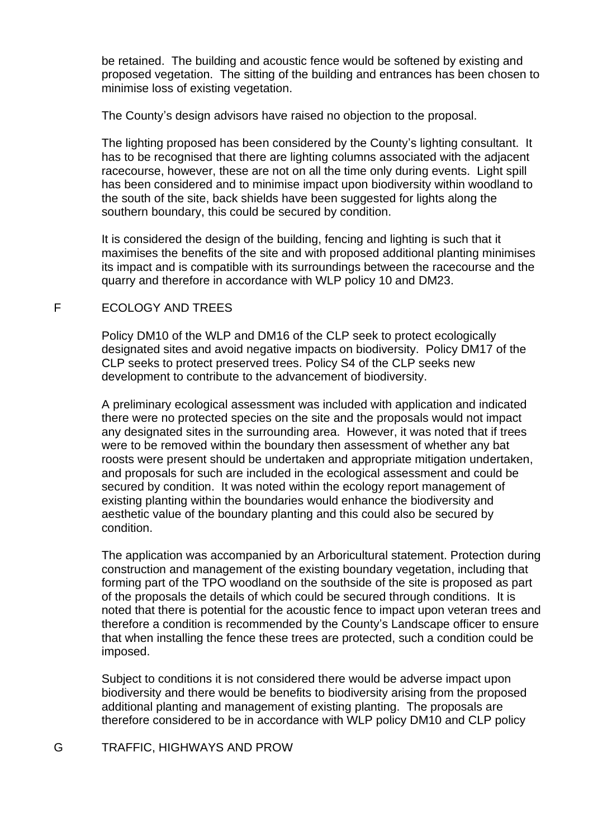be retained. The building and acoustic fence would be softened by existing and proposed vegetation. The sitting of the building and entrances has been chosen to minimise loss of existing vegetation.

The County's design advisors have raised no objection to the proposal.

The lighting proposed has been considered by the County's lighting consultant. It has to be recognised that there are lighting columns associated with the adjacent racecourse, however, these are not on all the time only during events. Light spill has been considered and to minimise impact upon biodiversity within woodland to the south of the site, back shields have been suggested for lights along the southern boundary, this could be secured by condition.

It is considered the design of the building, fencing and lighting is such that it maximises the benefits of the site and with proposed additional planting minimises its impact and is compatible with its surroundings between the racecourse and the quarry and therefore in accordance with WLP policy 10 and DM23.

# F ECOLOGY AND TREES

Policy DM10 of the WLP and DM16 of the CLP seek to protect ecologically designated sites and avoid negative impacts on biodiversity. Policy DM17 of the CLP seeks to protect preserved trees. Policy S4 of the CLP seeks new development to contribute to the advancement of biodiversity.

A preliminary ecological assessment was included with application and indicated there were no protected species on the site and the proposals would not impact any designated sites in the surrounding area. However, it was noted that if trees were to be removed within the boundary then assessment of whether any bat roosts were present should be undertaken and appropriate mitigation undertaken, and proposals for such are included in the ecological assessment and could be secured by condition. It was noted within the ecology report management of existing planting within the boundaries would enhance the biodiversity and aesthetic value of the boundary planting and this could also be secured by condition.

The application was accompanied by an Arboricultural statement. Protection during construction and management of the existing boundary vegetation, including that forming part of the TPO woodland on the southside of the site is proposed as part of the proposals the details of which could be secured through conditions. It is noted that there is potential for the acoustic fence to impact upon veteran trees and therefore a condition is recommended by the County's Landscape officer to ensure that when installing the fence these trees are protected, such a condition could be imposed.

Subject to conditions it is not considered there would be adverse impact upon biodiversity and there would be benefits to biodiversity arising from the proposed additional planting and management of existing planting. The proposals are therefore considered to be in accordance with WLP policy DM10 and CLP policy

## G TRAFFIC, HIGHWAYS AND PROW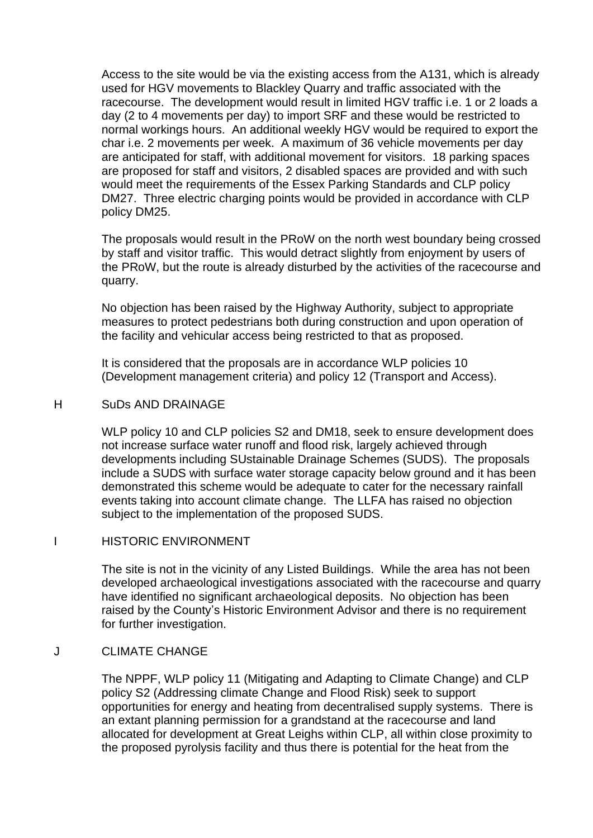Access to the site would be via the existing access from the A131, which is already used for HGV movements to Blackley Quarry and traffic associated with the racecourse. The development would result in limited HGV traffic i.e. 1 or 2 loads a day (2 to 4 movements per day) to import SRF and these would be restricted to normal workings hours. An additional weekly HGV would be required to export the char i.e. 2 movements per week. A maximum of 36 vehicle movements per day are anticipated for staff, with additional movement for visitors. 18 parking spaces are proposed for staff and visitors, 2 disabled spaces are provided and with such would meet the requirements of the Essex Parking Standards and CLP policy DM27. Three electric charging points would be provided in accordance with CLP policy DM25.

The proposals would result in the PRoW on the north west boundary being crossed by staff and visitor traffic. This would detract slightly from enjoyment by users of the PRoW, but the route is already disturbed by the activities of the racecourse and quarry.

No objection has been raised by the Highway Authority, subject to appropriate measures to protect pedestrians both during construction and upon operation of the facility and vehicular access being restricted to that as proposed.

It is considered that the proposals are in accordance WLP policies 10 (Development management criteria) and policy 12 (Transport and Access).

#### H SuDs AND DRAINAGE

WLP policy 10 and CLP policies S2 and DM18, seek to ensure development does not increase surface water runoff and flood risk, largely achieved through developments including SUstainable Drainage Schemes (SUDS). The proposals include a SUDS with surface water storage capacity below ground and it has been demonstrated this scheme would be adequate to cater for the necessary rainfall events taking into account climate change. The LLFA has raised no objection subject to the implementation of the proposed SUDS.

## I HISTORIC ENVIRONMENT

The site is not in the vicinity of any Listed Buildings. While the area has not been developed archaeological investigations associated with the racecourse and quarry have identified no significant archaeological deposits. No objection has been raised by the County's Historic Environment Advisor and there is no requirement for further investigation.

## J CLIMATE CHANGE

The NPPF, WLP policy 11 (Mitigating and Adapting to Climate Change) and CLP policy S2 (Addressing climate Change and Flood Risk) seek to support opportunities for energy and heating from decentralised supply systems. There is an extant planning permission for a grandstand at the racecourse and land allocated for development at Great Leighs within CLP, all within close proximity to the proposed pyrolysis facility and thus there is potential for the heat from the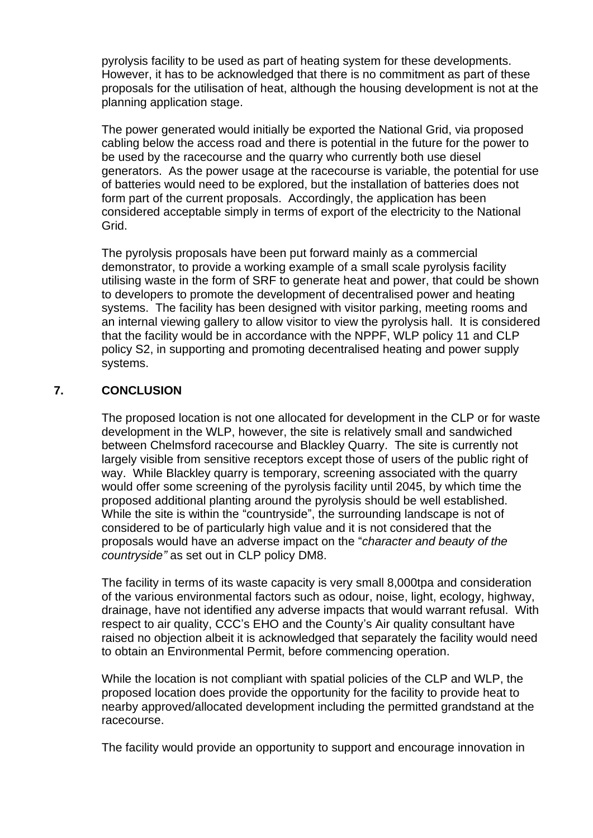pyrolysis facility to be used as part of heating system for these developments. However, it has to be acknowledged that there is no commitment as part of these proposals for the utilisation of heat, although the housing development is not at the planning application stage.

The power generated would initially be exported the National Grid, via proposed cabling below the access road and there is potential in the future for the power to be used by the racecourse and the quarry who currently both use diesel generators. As the power usage at the racecourse is variable, the potential for use of batteries would need to be explored, but the installation of batteries does not form part of the current proposals. Accordingly, the application has been considered acceptable simply in terms of export of the electricity to the National Grid.

The pyrolysis proposals have been put forward mainly as a commercial demonstrator, to provide a working example of a small scale pyrolysis facility utilising waste in the form of SRF to generate heat and power, that could be shown to developers to promote the development of decentralised power and heating systems. The facility has been designed with visitor parking, meeting rooms and an internal viewing gallery to allow visitor to view the pyrolysis hall. It is considered that the facility would be in accordance with the NPPF, WLP policy 11 and CLP policy S2, in supporting and promoting decentralised heating and power supply systems.

# **7. CONCLUSION**

The proposed location is not one allocated for development in the CLP or for waste development in the WLP, however, the site is relatively small and sandwiched between Chelmsford racecourse and Blackley Quarry. The site is currently not largely visible from sensitive receptors except those of users of the public right of way. While Blackley quarry is temporary, screening associated with the quarry would offer some screening of the pyrolysis facility until 2045, by which time the proposed additional planting around the pyrolysis should be well established. While the site is within the "countryside", the surrounding landscape is not of considered to be of particularly high value and it is not considered that the proposals would have an adverse impact on the "*character and beauty of the countryside"* as set out in CLP policy DM8.

The facility in terms of its waste capacity is very small 8,000tpa and consideration of the various environmental factors such as odour, noise, light, ecology, highway, drainage, have not identified any adverse impacts that would warrant refusal. With respect to air quality, CCC's EHO and the County's Air quality consultant have raised no objection albeit it is acknowledged that separately the facility would need to obtain an Environmental Permit, before commencing operation.

While the location is not compliant with spatial policies of the CLP and WLP, the proposed location does provide the opportunity for the facility to provide heat to nearby approved/allocated development including the permitted grandstand at the racecourse.

The facility would provide an opportunity to support and encourage innovation in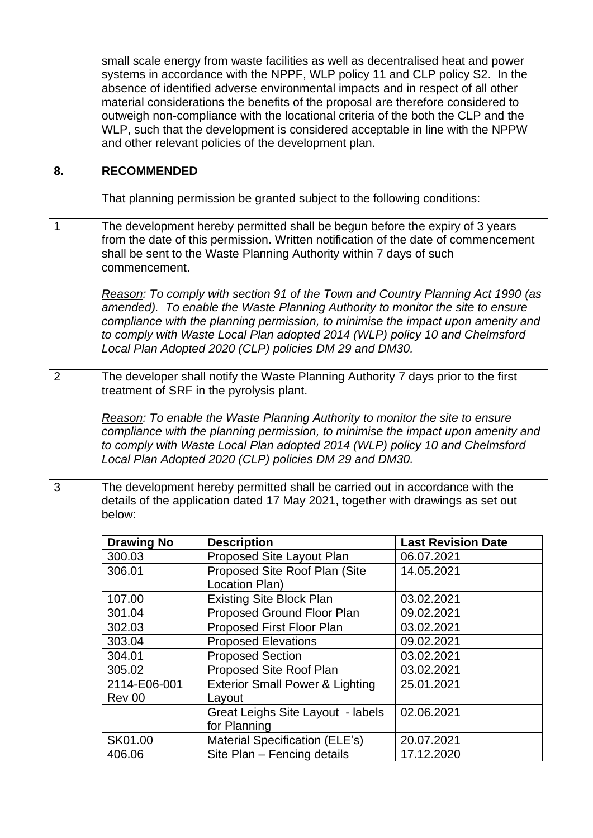small scale energy from waste facilities as well as decentralised heat and power systems in accordance with the NPPF, WLP policy 11 and CLP policy S2. In the absence of identified adverse environmental impacts and in respect of all other material considerations the benefits of the proposal are therefore considered to outweigh non-compliance with the locational criteria of the both the CLP and the WLP, such that the development is considered acceptable in line with the NPPW and other relevant policies of the development plan.

## **8. RECOMMENDED**

That planning permission be granted subject to the following conditions:

1 The development hereby permitted shall be begun before the expiry of 3 years from the date of this permission. Written notification of the date of commencement shall be sent to the Waste Planning Authority within 7 days of such commencement.

> *Reason: To comply with section 91 of the Town and Country Planning Act 1990 (as amended). To enable the Waste Planning Authority to monitor the site to ensure compliance with the planning permission, to minimise the impact upon amenity and to comply with Waste Local Plan adopted 2014 (WLP) policy 10 and Chelmsford Local Plan Adopted 2020 (CLP) policies DM 29 and DM30.*

2 The developer shall notify the Waste Planning Authority 7 days prior to the first treatment of SRF in the pyrolysis plant.

> *Reason: To enable the Waste Planning Authority to monitor the site to ensure compliance with the planning permission, to minimise the impact upon amenity and to comply with Waste Local Plan adopted 2014 (WLP) policy 10 and Chelmsford Local Plan Adopted 2020 (CLP) policies DM 29 and DM30.*

3 The development hereby permitted shall be carried out in accordance with the details of the application dated 17 May 2021, together with drawings as set out below:

| <b>Drawing No</b> | <b>Description</b>                         | <b>Last Revision Date</b> |
|-------------------|--------------------------------------------|---------------------------|
| 300.03            | Proposed Site Layout Plan                  | 06.07.2021                |
| 306.01            | Proposed Site Roof Plan (Site              | 14.05.2021                |
|                   | Location Plan)                             |                           |
| 107.00            | <b>Existing Site Block Plan</b>            | 03.02.2021                |
| 301.04            | Proposed Ground Floor Plan                 | 09.02.2021                |
| 302.03            | Proposed First Floor Plan                  | 03.02.2021                |
| 303.04            | <b>Proposed Elevations</b>                 | 09.02.2021                |
| 304.01            | <b>Proposed Section</b>                    | 03.02.2021                |
| 305.02            | Proposed Site Roof Plan                    | 03.02.2021                |
| 2114-E06-001      | <b>Exterior Small Power &amp; Lighting</b> | 25.01.2021                |
| Rev 00            | Layout                                     |                           |
|                   | Great Leighs Site Layout - labels          | 02.06.2021                |
|                   | for Planning                               |                           |
| SK01.00           | Material Specification (ELE's)             | 20.07.2021                |
| 406.06            | Site Plan - Fencing details                | 17.12.2020                |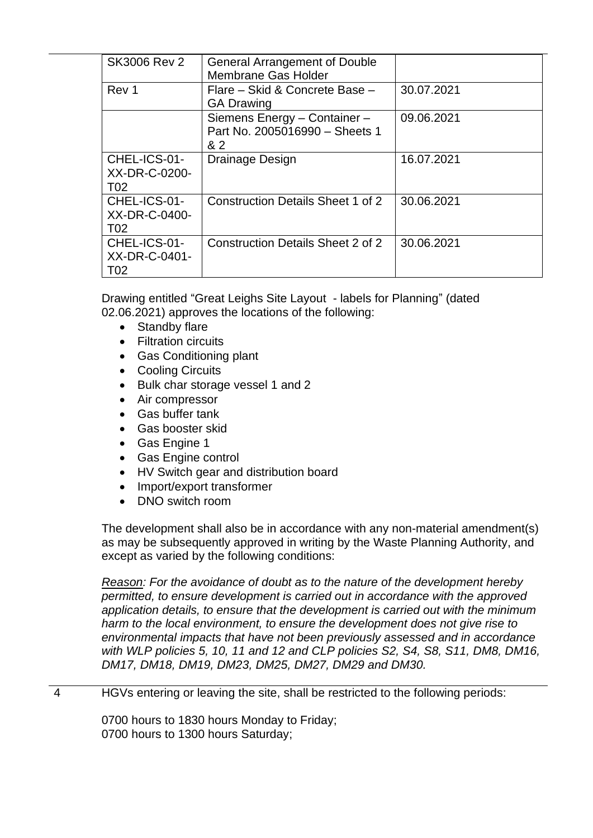| <b>SK3006 Rev 2</b>                              | <b>General Arrangement of Double</b><br>Membrane Gas Holder           |            |
|--------------------------------------------------|-----------------------------------------------------------------------|------------|
| Rev 1                                            | Flare - Skid & Concrete Base -<br><b>GA Drawing</b>                   | 30.07.2021 |
|                                                  | Siemens Energy - Container -<br>Part No. 2005016990 - Sheets 1<br>& 2 | 09.06.2021 |
| CHEL-ICS-01-<br>XX-DR-C-0200-<br>T <sub>02</sub> | Drainage Design                                                       | 16.07.2021 |
| CHEL-ICS-01-<br>XX-DR-C-0400-<br>T <sub>02</sub> | <b>Construction Details Sheet 1 of 2</b>                              | 30.06.2021 |
| CHEL-ICS-01-<br>XX-DR-C-0401-<br>T02             | <b>Construction Details Sheet 2 of 2</b>                              | 30.06.2021 |

Drawing entitled "Great Leighs Site Layout - labels for Planning" (dated 02.06.2021) approves the locations of the following:

- Standby flare
- Filtration circuits
- Gas Conditioning plant
- Cooling Circuits
- Bulk char storage vessel 1 and 2
- Air compressor
- Gas buffer tank
- Gas booster skid
- Gas Engine 1
- Gas Engine control
- HV Switch gear and distribution board
- Import/export transformer
- DNO switch room

The development shall also be in accordance with any non-material amendment(s) as may be subsequently approved in writing by the Waste Planning Authority, and except as varied by the following conditions:

*Reason: For the avoidance of doubt as to the nature of the development hereby permitted, to ensure development is carried out in accordance with the approved application details, to ensure that the development is carried out with the minimum harm to the local environment, to ensure the development does not give rise to environmental impacts that have not been previously assessed and in accordance with WLP policies 5, 10, 11 and 12 and CLP policies S2, S4, S8, S11, DM8, DM16, DM17, DM18, DM19, DM23, DM25, DM27, DM29 and DM30.*

## 4 HGVs entering or leaving the site, shall be restricted to the following periods:

0700 hours to 1830 hours Monday to Friday; 0700 hours to 1300 hours Saturday;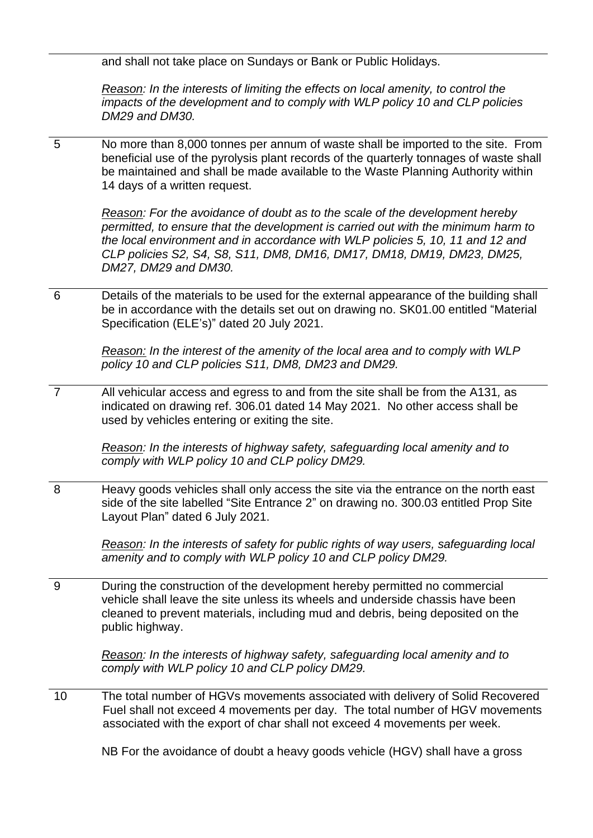and shall not take place on Sundays or Bank or Public Holidays.

*Reason: In the interests of limiting the effects on local amenity, to control the impacts of the development and to comply with WLP policy 10 and CLP policies DM29 and DM30.*

5 No more than 8,000 tonnes per annum of waste shall be imported to the site. From beneficial use of the pyrolysis plant records of the quarterly tonnages of waste shall be maintained and shall be made available to the Waste Planning Authority within 14 days of a written request.

*Reason: For the avoidance of doubt as to the scale of the development hereby permitted, to ensure that the development is carried out with the minimum harm to the local environment and in accordance with WLP policies 5, 10, 11 and 12 and CLP policies S2, S4, S8, S11, DM8, DM16, DM17, DM18, DM19, DM23, DM25, DM27, DM29 and DM30.*

6 Details of the materials to be used for the external appearance of the building shall be in accordance with the details set out on drawing no. SK01.00 entitled "Material Specification (ELE's)" dated 20 July 2021.

> *Reason: In the interest of the amenity of the local area and to comply with WLP policy 10 and CLP policies S11, DM8, DM23 and DM29.*

7 All vehicular access and egress to and from the site shall be from the A131*,* as indicated on drawing ref. 306.01 dated 14 May 2021. No other access shall be used by vehicles entering or exiting the site.

> *Reason: In the interests of highway safety, safeguarding local amenity and to comply with WLP policy 10 and CLP policy DM29.*

8 Heavy goods vehicles shall only access the site via the entrance on the north east side of the site labelled "Site Entrance 2" on drawing no. 300.03 entitled Prop Site Layout Plan" dated 6 July 2021.

*Reason: In the interests of safety for public rights of way users, safeguarding local amenity and to comply with WLP policy 10 and CLP policy DM29.* 

9 During the construction of the development hereby permitted no commercial vehicle shall leave the site unless its wheels and underside chassis have been cleaned to prevent materials, including mud and debris, being deposited on the public highway.

> *Reason: In the interests of highway safety, safeguarding local amenity and to comply with WLP policy 10 and CLP policy DM29.*

10 The total number of HGVs movements associated with delivery of Solid Recovered Fuel shall not exceed 4 movements per day. The total number of HGV movements associated with the export of char shall not exceed 4 movements per week.

NB For the avoidance of doubt a heavy goods vehicle (HGV) shall have a gross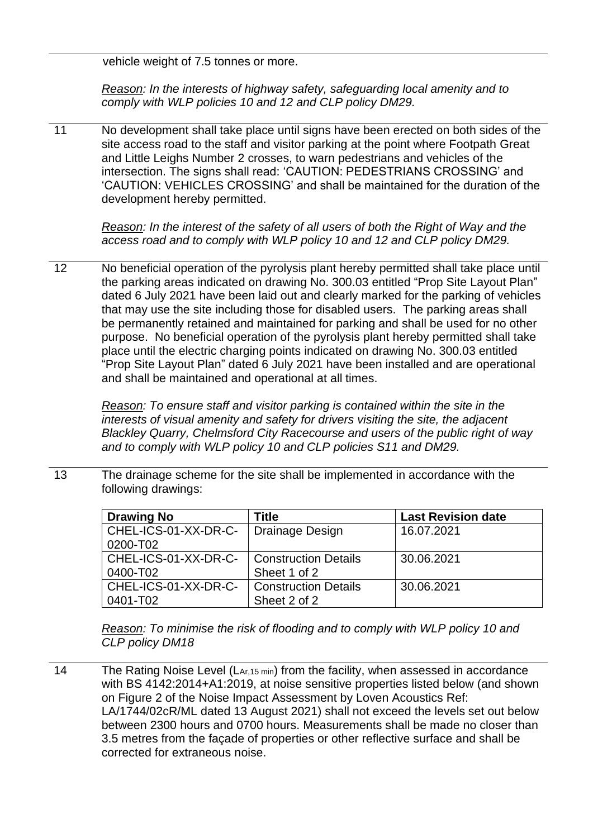vehicle weight of 7.5 tonnes or more.

*Reason: In the interests of highway safety, safeguarding local amenity and to comply with WLP policies 10 and 12 and CLP policy DM29.*

11 No development shall take place until signs have been erected on both sides of the site access road to the staff and visitor parking at the point where Footpath Great and Little Leighs Number 2 crosses, to warn pedestrians and vehicles of the intersection. The signs shall read: 'CAUTION: PEDESTRIANS CROSSING' and 'CAUTION: VEHICLES CROSSING' and shall be maintained for the duration of the development hereby permitted.

> *Reason: In the interest of the safety of all users of both the Right of Way and the access road and to comply with WLP policy 10 and 12 and CLP policy DM29.*

12 No beneficial operation of the pyrolysis plant hereby permitted shall take place until the parking areas indicated on drawing No. 300.03 entitled "Prop Site Layout Plan" dated 6 July 2021 have been laid out and clearly marked for the parking of vehicles that may use the site including those for disabled users. The parking areas shall be permanently retained and maintained for parking and shall be used for no other purpose. No beneficial operation of the pyrolysis plant hereby permitted shall take place until the electric charging points indicated on drawing No. 300.03 entitled "Prop Site Layout Plan" dated 6 July 2021 have been installed and are operational and shall be maintained and operational at all times.

*Reason: To ensure staff and visitor parking is contained within the site in the interests of visual amenity and safety for drivers visiting the site, the adjacent Blackley Quarry, Chelmsford City Racecourse and users of the public right of way and to comply with WLP policy 10 and CLP policies S11 and DM29.*

13 The drainage scheme for the site shall be implemented in accordance with the following drawings:

| <b>Drawing No</b>    | Title                       | <b>Last Revision date</b> |
|----------------------|-----------------------------|---------------------------|
| CHEL-ICS-01-XX-DR-C- | Drainage Design             | 16.07.2021                |
| 0200-T02             |                             |                           |
| CHEL-ICS-01-XX-DR-C- | <b>Construction Details</b> | 30.06.2021                |
| 0400-T02             | Sheet 1 of 2                |                           |
| CHEL-ICS-01-XX-DR-C- | <b>Construction Details</b> | 30.06.2021                |
| 0401-T02             | Sheet 2 of 2                |                           |

*Reason: To minimise the risk of flooding and to comply with WLP policy 10 and CLP policy DM18*

14 The Rating Noise Level (L<sub>Ar,15 min</sub>) from the facility, when assessed in accordance with BS 4142:2014+A1:2019, at noise sensitive properties listed below (and shown on Figure 2 of the Noise Impact Assessment by Loven Acoustics Ref: LA/1744/02cR/ML dated 13 August 2021) shall not exceed the levels set out below between 2300 hours and 0700 hours. Measurements shall be made no closer than 3.5 metres from the façade of properties or other reflective surface and shall be corrected for extraneous noise.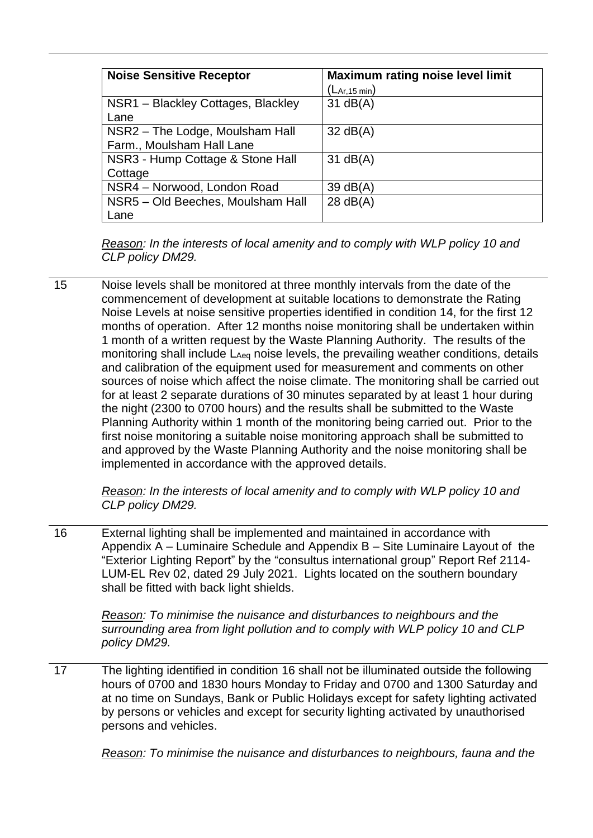| <b>Noise Sensitive Receptor</b>                              | <b>Maximum rating noise level limit</b><br>$\left( \mathsf{L}_{\mathsf{Ar},\mathsf{15} \min} \right)$ |
|--------------------------------------------------------------|-------------------------------------------------------------------------------------------------------|
| NSR1 - Blackley Cottages, Blackley<br>Lane                   | $31$ dB(A)                                                                                            |
| NSR2 - The Lodge, Moulsham Hall<br>Farm., Moulsham Hall Lane | $32 \text{ dB}(A)$                                                                                    |
| NSR3 - Hump Cottage & Stone Hall<br>Cottage                  | $31$ dB(A)                                                                                            |
| NSR4 - Norwood, London Road                                  | 39 $dB(A)$                                                                                            |
| NSR5 - Old Beeches, Moulsham Hall<br>Lane                    | 28 dB(A)                                                                                              |

*Reason: In the interests of local amenity and to comply with WLP policy 10 and CLP policy DM29.*

15 Noise levels shall be monitored at three monthly intervals from the date of the commencement of development at suitable locations to demonstrate the Rating Noise Levels at noise sensitive properties identified in condition 14, for the first 12 months of operation. After 12 months noise monitoring shall be undertaken within 1 month of a written request by the Waste Planning Authority. The results of the monitoring shall include  $L_{Aea}$  noise levels, the prevailing weather conditions, details and calibration of the equipment used for measurement and comments on other sources of noise which affect the noise climate. The monitoring shall be carried out for at least 2 separate durations of 30 minutes separated by at least 1 hour during the night (2300 to 0700 hours) and the results shall be submitted to the Waste Planning Authority within 1 month of the monitoring being carried out. Prior to the first noise monitoring a suitable noise monitoring approach shall be submitted to and approved by the Waste Planning Authority and the noise monitoring shall be implemented in accordance with the approved details.

> *Reason: In the interests of local amenity and to comply with WLP policy 10 and CLP policy DM29.*

16 External lighting shall be implemented and maintained in accordance with Appendix A – Luminaire Schedule and Appendix B – Site Luminaire Layout of the "Exterior Lighting Report" by the "consultus international group" Report Ref 2114- LUM-EL Rev 02, dated 29 July 2021. Lights located on the southern boundary shall be fitted with back light shields.

*Reason: To minimise the nuisance and disturbances to neighbours and the surrounding area from light pollution and to comply with WLP policy 10 and CLP policy DM29.*

17 The lighting identified in condition 16 shall not be illuminated outside the following hours of 0700 and 1830 hours Monday to Friday and 0700 and 1300 Saturday and at no time on Sundays, Bank or Public Holidays except for safety lighting activated by persons or vehicles and except for security lighting activated by unauthorised persons and vehicles.

*Reason: To minimise the nuisance and disturbances to neighbours, fauna and the*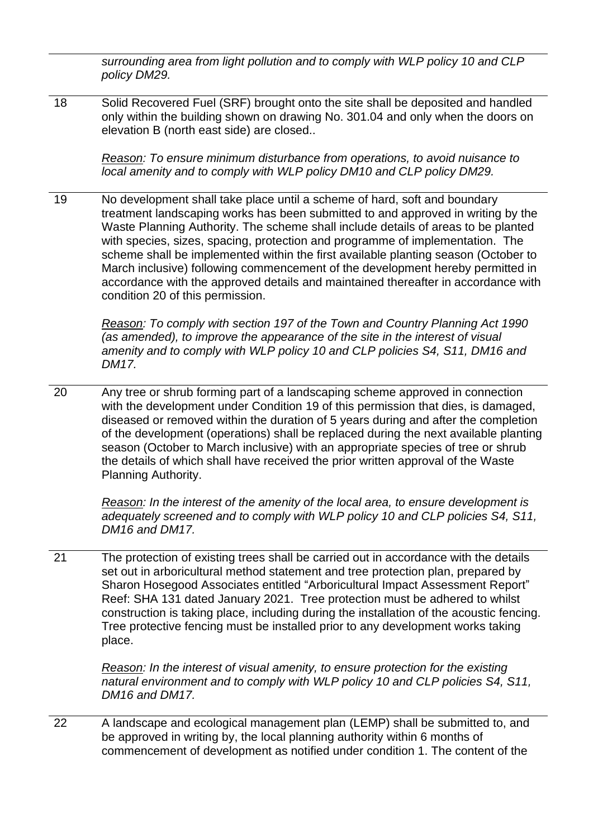*surrounding area from light pollution and to comply with WLP policy 10 and CLP policy DM29.*

18 Solid Recovered Fuel (SRF) brought onto the site shall be deposited and handled only within the building shown on drawing No. 301.04 and only when the doors on elevation B (north east side) are closed..

*Reason: To ensure minimum disturbance from operations, to avoid nuisance to local amenity and to comply with WLP policy DM10 and CLP policy DM29.*

19 No development shall take place until a scheme of hard, soft and boundary treatment landscaping works has been submitted to and approved in writing by the Waste Planning Authority. The scheme shall include details of areas to be planted with species, sizes, spacing, protection and programme of implementation. The scheme shall be implemented within the first available planting season (October to March inclusive) following commencement of the development hereby permitted in accordance with the approved details and maintained thereafter in accordance with condition 20 of this permission.

*Reason: To comply with section 197 of the Town and Country Planning Act 1990 (as amended), to improve the appearance of the site in the interest of visual amenity and to comply with WLP policy 10 and CLP policies S4, S11, DM16 and DM17.*

20 Any tree or shrub forming part of a landscaping scheme approved in connection with the development under Condition 19 of this permission that dies, is damaged, diseased or removed within the duration of 5 years during and after the completion of the development (operations) shall be replaced during the next available planting season (October to March inclusive) with an appropriate species of tree or shrub the details of which shall have received the prior written approval of the Waste Planning Authority.

*Reason: In the interest of the amenity of the local area, to ensure development is adequately screened and to comply with WLP policy 10 and CLP policies S4, S11, DM16 and DM17.*

21 The protection of existing trees shall be carried out in accordance with the details set out in arboricultural method statement and tree protection plan, prepared by Sharon Hosegood Associates entitled "Arboricultural Impact Assessment Report" Reef: SHA 131 dated January 2021. Tree protection must be adhered to whilst construction is taking place, including during the installation of the acoustic fencing. Tree protective fencing must be installed prior to any development works taking place.

*Reason: In the interest of visual amenity, to ensure protection for the existing natural environment and to comply with WLP policy 10 and CLP policies S4, S11, DM16 and DM17.*

22 A landscape and ecological management plan (LEMP) shall be submitted to, and be approved in writing by, the local planning authority within 6 months of commencement of development as notified under condition 1. The content of the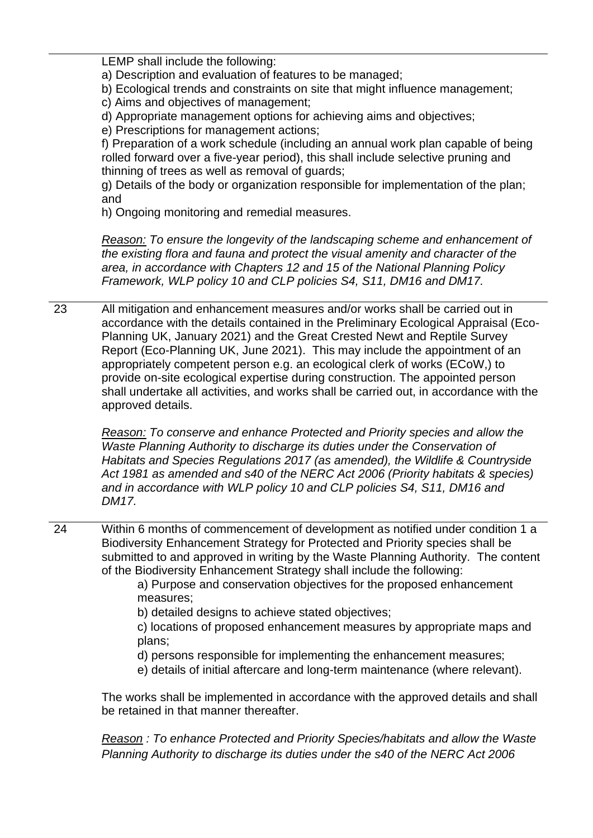LEMP shall include the following:

a) Description and evaluation of features to be managed;

b) Ecological trends and constraints on site that might influence management;

c) Aims and objectives of management;

d) Appropriate management options for achieving aims and objectives;

e) Prescriptions for management actions;

f) Preparation of a work schedule (including an annual work plan capable of being rolled forward over a five-year period), this shall include selective pruning and thinning of trees as well as removal of guards;

g) Details of the body or organization responsible for implementation of the plan; and

h) Ongoing monitoring and remedial measures.

*Reason: To ensure the longevity of the landscaping scheme and enhancement of the existing flora and fauna and protect the visual amenity and character of the area, in accordance with Chapters 12 and 15 of the National Planning Policy Framework, WLP policy 10 and CLP policies S4, S11, DM16 and DM17.*

23 All mitigation and enhancement measures and/or works shall be carried out in accordance with the details contained in the Preliminary Ecological Appraisal (Eco-Planning UK, January 2021) and the Great Crested Newt and Reptile Survey Report (Eco-Planning UK, June 2021). This may include the appointment of an appropriately competent person e.g. an ecological clerk of works (ECoW,) to provide on-site ecological expertise during construction. The appointed person shall undertake all activities, and works shall be carried out, in accordance with the approved details.

*Reason: To conserve and enhance Protected and Priority species and allow the Waste Planning Authority to discharge its duties under the Conservation of Habitats and Species Regulations 2017 (as amended), the Wildlife & Countryside Act 1981 as amended and s40 of the NERC Act 2006 (Priority habitats & species) and in accordance with WLP policy 10 and CLP policies S4, S11, DM16 and DM17.*

24 Within 6 months of commencement of development as notified under condition 1 a Biodiversity Enhancement Strategy for Protected and Priority species shall be submitted to and approved in writing by the Waste Planning Authority. The content of the Biodiversity Enhancement Strategy shall include the following:

a) Purpose and conservation objectives for the proposed enhancement measures;

b) detailed designs to achieve stated objectives;

- c) locations of proposed enhancement measures by appropriate maps and plans;
- d) persons responsible for implementing the enhancement measures;
- e) details of initial aftercare and long-term maintenance (where relevant).

The works shall be implemented in accordance with the approved details and shall be retained in that manner thereafter.

*Reason : To enhance Protected and Priority Species/habitats and allow the Waste Planning Authority to discharge its duties under the s40 of the NERC Act 2006*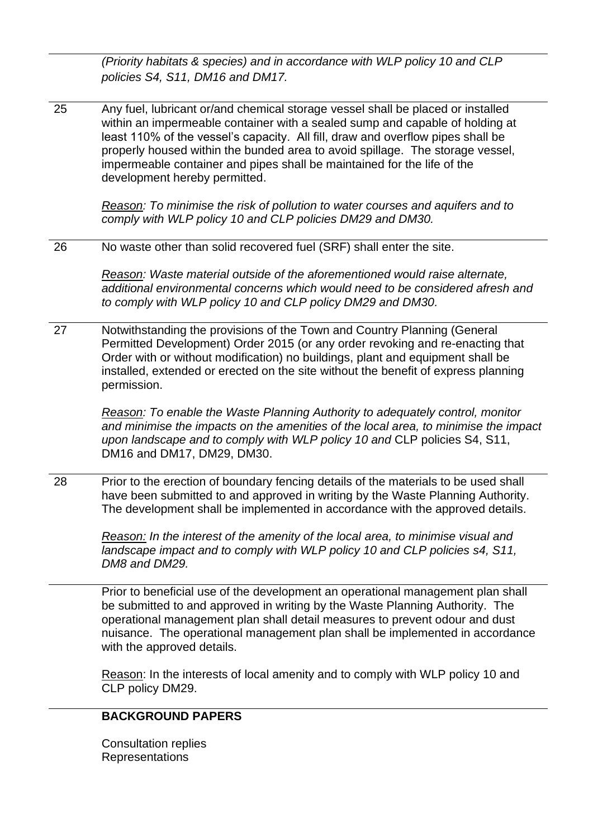*(Priority habitats & species) and in accordance with WLP policy 10 and CLP policies S4, S11, DM16 and DM17.*

25 Any fuel, lubricant or/and chemical storage vessel shall be placed or installed within an impermeable container with a sealed sump and capable of holding at least 110% of the vessel's capacity. All fill, draw and overflow pipes shall be properly housed within the bunded area to avoid spillage. The storage vessel, impermeable container and pipes shall be maintained for the life of the development hereby permitted.

> *Reason: To minimise the risk of pollution to water courses and aquifers and to comply with WLP policy 10 and CLP policies DM29 and DM30.*

26 No waste other than solid recovered fuel (SRF) shall enter the site.

*Reason: Waste material outside of the aforementioned would raise alternate, additional environmental concerns which would need to be considered afresh and to comply with WLP policy 10 and CLP policy DM29 and DM30.*

27 Notwithstanding the provisions of the Town and Country Planning (General Permitted Development) Order 2015 (or any order revoking and re-enacting that Order with or without modification) no buildings, plant and equipment shall be installed, extended or erected on the site without the benefit of express planning permission.

> *Reason: To enable the Waste Planning Authority to adequately control, monitor and minimise the impacts on the amenities of the local area, to minimise the impact upon landscape and to comply with WLP policy 10 and* CLP policies S4, S11, DM16 and DM17, DM29, DM30.

28 Prior to the erection of boundary fencing details of the materials to be used shall have been submitted to and approved in writing by the Waste Planning Authority. The development shall be implemented in accordance with the approved details.

> *Reason: In the interest of the amenity of the local area, to minimise visual and landscape impact and to comply with WLP policy 10 and CLP policies s4, S11, DM8 and DM29.*

Prior to beneficial use of the development an operational management plan shall be submitted to and approved in writing by the Waste Planning Authority. The operational management plan shall detail measures to prevent odour and dust nuisance. The operational management plan shall be implemented in accordance with the approved details.

Reason: In the interests of local amenity and to comply with WLP policy 10 and CLP policy DM29.

# **BACKGROUND PAPERS**

Consultation replies **Representations**